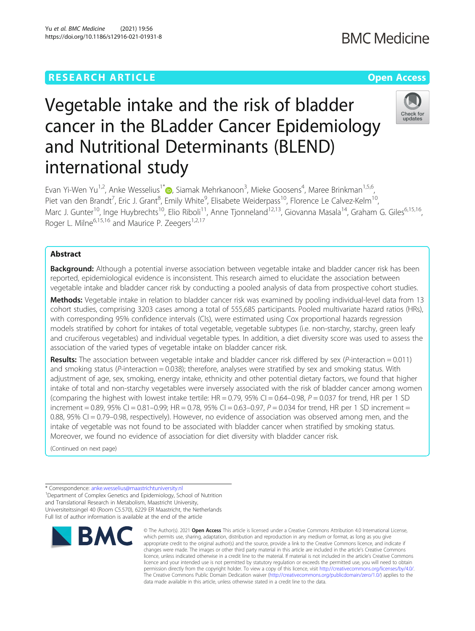## Yu et al. BMC Medicine (2021) 19:56 https://doi.org/10.1186/s12916-021-01931-8



# Vegetable intake and the risk of bladder cancer in the BLadder Cancer Epidemiology and Nutritional Determinants (BLEND) international study

Evan Yi-Wen Yu<sup>1,2</sup>, Anke Wesselius<sup>1[\\*](https://orcid.org/0000-0003-4474-9665)</sup>®, Siamak Mehrkanoon<sup>3</sup>, Mieke Goosens<sup>4</sup>, Maree Brinkman<sup>1,5,6</sup>, Piet van den Brandt<sup>7</sup>, Eric J. Grant<sup>8</sup>, Emily White<sup>9</sup>, Elisabete Weiderpass<sup>10</sup>, Florence Le Calvez-Kelm<sup>10</sup>, Marc J. Gunter<sup>10</sup>, Inge Huybrechts<sup>10</sup>, Elio Riboli<sup>11</sup>, Anne Tjonneland<sup>12,13</sup>, Giovanna Masala<sup>14</sup>, Graham G. Giles<sup>6,15,16</sup>, Roger L. Milne<sup>6,15,16</sup> and Maurice P. Zeegers<sup>1,2,17</sup>

## Abstract

Background: Although a potential inverse association between vegetable intake and bladder cancer risk has been reported, epidemiological evidence is inconsistent. This research aimed to elucidate the association between vegetable intake and bladder cancer risk by conducting a pooled analysis of data from prospective cohort studies.

Methods: Vegetable intake in relation to bladder cancer risk was examined by pooling individual-level data from 13 cohort studies, comprising 3203 cases among a total of 555,685 participants. Pooled multivariate hazard ratios (HRs), with corresponding 95% confidence intervals (CIs), were estimated using Cox proportional hazards regression models stratified by cohort for intakes of total vegetable, vegetable subtypes (i.e. non-starchy, starchy, green leafy and cruciferous vegetables) and individual vegetable types. In addition, a diet diversity score was used to assess the association of the varied types of vegetable intake on bladder cancer risk.

**Results:** The association between vegetable intake and bladder cancer risk differed by sex (P-interaction = 0.011) and smoking status ( $P$ -interaction = 0.038); therefore, analyses were stratified by sex and smoking status. With adjustment of age, sex, smoking, energy intake, ethnicity and other potential dietary factors, we found that higher intake of total and non-starchy vegetables were inversely associated with the risk of bladder cancer among women (comparing the highest with lowest intake tertile: HR = 0.79, 95% CI = 0.64–0.98,  $P = 0.037$  for trend, HR per 1 SD increment = 0.89, 95% CI = 0.81-0.99; HR = 0.78, 95% CI = 0.63-0.97, P = 0.034 for trend, HR per 1 SD increment = 0.88, 95% CI = 0.79–0.98, respectively). However, no evidence of association was observed among men, and the intake of vegetable was not found to be associated with bladder cancer when stratified by smoking status. Moreover, we found no evidence of association for diet diversity with bladder cancer risk.

(Continued on next page)

<sup>\*</sup> Correspondence: [anke.wesselius@maastrichtuniversity.nl](mailto:anke.wesselius@maastrichtuniversity.nl) <sup>1</sup> <sup>1</sup>Department of Complex Genetics and Epidemiology, School of Nutrition and Translational Research in Metabolism, Maastricht University, Universiteitssingel 40 (Room C5.570), 6229 ER Maastricht, the Netherlands Full list of author information is available at the end of the article



<sup>©</sup> The Author(s), 2021 **Open Access** This article is licensed under a Creative Commons Attribution 4.0 International License, which permits use, sharing, adaptation, distribution and reproduction in any medium or format, as long as you give appropriate credit to the original author(s) and the source, provide a link to the Creative Commons licence, and indicate if changes were made. The images or other third party material in this article are included in the article's Creative Commons licence, unless indicated otherwise in a credit line to the material. If material is not included in the article's Creative Commons licence and your intended use is not permitted by statutory regulation or exceeds the permitted use, you will need to obtain permission directly from the copyright holder. To view a copy of this licence, visit [http://creativecommons.org/licenses/by/4.0/.](http://creativecommons.org/licenses/by/4.0/) The Creative Commons Public Domain Dedication waiver [\(http://creativecommons.org/publicdomain/zero/1.0/](http://creativecommons.org/publicdomain/zero/1.0/)) applies to the data made available in this article, unless otherwise stated in a credit line to the data.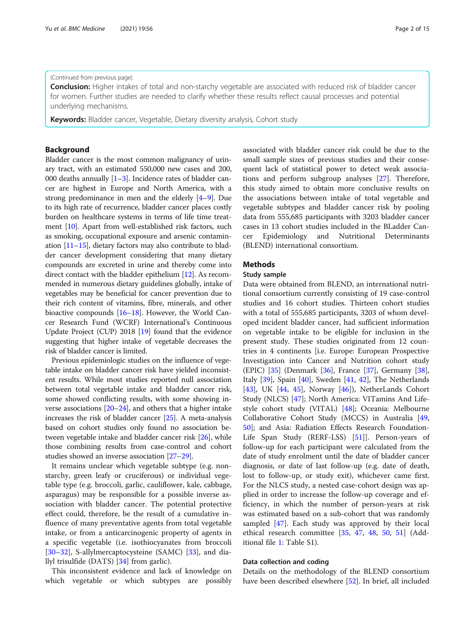#### (Continued from previous page)

Conclusion: Higher intakes of total and non-starchy vegetable are associated with reduced risk of bladder cancer for women. Further studies are needed to clarify whether these results reflect causal processes and potential underlying mechanisms.

**Keywords:** Bladder cancer, Vegetable, Dietary diversity analysis, Cohort study

#### Background

Bladder cancer is the most common malignancy of urinary tract, with an estimated 550,000 new cases and 200, 000 deaths annually  $[1-3]$  $[1-3]$  $[1-3]$ . Incidence rates of bladder cancer are highest in Europe and North America, with a strong predominance in men and the elderly [\[4](#page-12-0)–[9\]](#page-12-0). Due to its high rate of recurrence, bladder cancer places costly burden on healthcare systems in terms of life time treatment [[10](#page-12-0)]. Apart from well-established risk factors, such as smoking, occupational exposure and arsenic contamination [\[11](#page-12-0)–[15](#page-12-0)], dietary factors may also contribute to bladder cancer development considering that many dietary compounds are excreted in urine and thereby come into direct contact with the bladder epithelium [\[12\]](#page-12-0). As recommended in numerous dietary guidelines globally, intake of vegetables may be beneficial for cancer prevention due to their rich content of vitamins, fibre, minerals, and other bioactive compounds [\[16](#page-12-0)–[18\]](#page-12-0). However, the World Cancer Research Fund (WCRF) International's Continuous Update Project (CUP) 2018 [\[19](#page-12-0)] found that the evidence suggesting that higher intake of vegetable decreases the risk of bladder cancer is limited.

Previous epidemiologic studies on the influence of vegetable intake on bladder cancer risk have yielded inconsistent results. While most studies reported null association between total vegetable intake and bladder cancer risk, some showed conflicting results, with some showing inverse associations [\[20](#page-12-0)–[24](#page-12-0)], and others that a higher intake increases the risk of bladder cancer [\[25\]](#page-12-0). A meta-analysis based on cohort studies only found no association between vegetable intake and bladder cancer risk [\[26](#page-12-0)], while those combining results from case-control and cohort studies showed an inverse association [\[27](#page-12-0)–[29](#page-12-0)].

It remains unclear which vegetable subtype (e.g. nonstarchy, green leafy or cruciferous) or individual vegetable type (e.g. broccoli, garlic, cauliflower, kale, cabbage, asparagus) may be responsible for a possible inverse association with bladder cancer. The potential protective effect could, therefore, be the result of a cumulative influence of many preventative agents from total vegetable intake, or from a anticarcinogenic property of agents in a specific vegetable (i.e. isothiocyanates from broccoli [[30](#page-12-0)–[32](#page-13-0)], S-allylmercaptocysteine (SAMC) [\[33](#page-13-0)], and diallyl trisulfide (DATS) [[34\]](#page-13-0) from garlic).

This inconsistent evidence and lack of knowledge on which vegetable or which subtypes are possibly associated with bladder cancer risk could be due to the small sample sizes of previous studies and their consequent lack of statistical power to detect weak associations and perform subgroup analyses [\[27](#page-12-0)]. Therefore, this study aimed to obtain more conclusive results on the associations between intake of total vegetable and vegetable subtypes and bladder cancer risk by pooling data from 555,685 participants with 3203 bladder cancer cases in 13 cohort studies included in the BLadder Cancer Epidemiology and Nutritional Determinants (BLEND) international consortium.

#### Methods

#### Study sample

Data were obtained from BLEND, an international nutritional consortium currently consisting of 19 case-control studies and 16 cohort studies. Thirteen cohort studies with a total of 555,685 participants, 3203 of whom developed incident bladder cancer, had sufficient information on vegetable intake to be eligible for inclusion in the present study. These studies originated from 12 countries in 4 continents [i.e. Europe: European Prospective Investigation into Cancer and Nutrition cohort study (EPIC) [\[35](#page-13-0)] (Denmark [\[36\]](#page-13-0), France [\[37\]](#page-13-0), Germany [\[38](#page-13-0)], Italy [\[39](#page-13-0)], Spain [[40](#page-13-0)], Sweden [\[41](#page-13-0), [42\]](#page-13-0), The Netherlands [[43\]](#page-13-0), UK [\[44](#page-13-0), [45](#page-13-0)], Norway [\[46\]](#page-13-0)), NetherLands Cohort Study (NLCS) [\[47](#page-13-0)]; North America: VITamins And Lifestyle cohort study (VITAL) [\[48\]](#page-13-0); Oceania: Melbourne Collaborative Cohort Study (MCCS) in Australia [[49](#page-13-0), [50\]](#page-13-0); and Asia: Radiation Effects Research Foundation-Life Span Study (RERF-LSS) [[51\]](#page-13-0)]. Person-years of follow-up for each participant were calculated from the date of study enrolment until the date of bladder cancer diagnosis, or date of last follow-up (e.g. date of death, lost to follow-up, or study exit), whichever came first. For the NLCS study, a nested case-cohort design was applied in order to increase the follow-up coverage and efficiency, in which the number of person-years at risk was estimated based on a sub-cohort that was randomly sampled [[47](#page-13-0)]. Each study was approved by their local ethical research committee [[35,](#page-13-0) [47,](#page-13-0) [48,](#page-13-0) [50,](#page-13-0) [51](#page-13-0)] (Additional file [1:](#page-11-0) Table S1).

#### Data collection and coding

Details on the methodology of the BLEND consortium have been described elsewhere [[52\]](#page-13-0). In brief, all included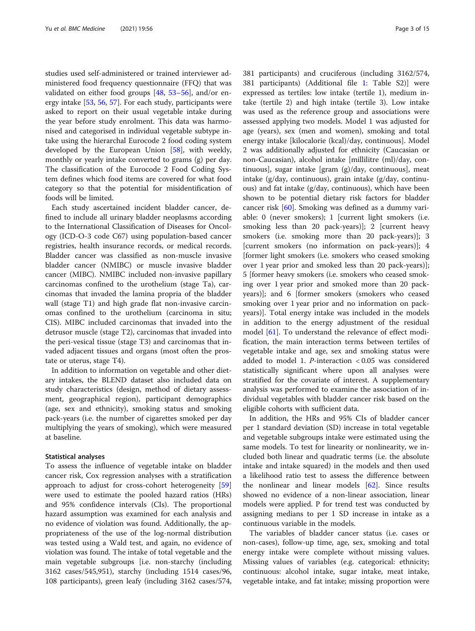studies used self-administered or trained interviewer administered food frequency questionnaire (FFQ) that was validated on either food groups [\[48](#page-13-0), [53](#page-13-0)–[56\]](#page-13-0), and/or energy intake [[53](#page-13-0), [56](#page-13-0), [57](#page-13-0)]. For each study, participants were asked to report on their usual vegetable intake during the year before study enrolment. This data was harmonised and categorised in individual vegetable subtype intake using the hierarchal Eurocode 2 food coding system developed by the European Union [\[58](#page-13-0)], with weekly, monthly or yearly intake converted to grams (g) per day. The classification of the Eurocode 2 Food Coding System defines which food items are covered for what food category so that the potential for misidentification of foods will be limited.

Each study ascertained incident bladder cancer, defined to include all urinary bladder neoplasms according to the International Classification of Diseases for Oncology (ICD-O-3 code C67) using population-based cancer registries, health insurance records, or medical records. Bladder cancer was classified as non-muscle invasive bladder cancer (NMIBC) or muscle invasive bladder cancer (MIBC). NMIBC included non-invasive papillary carcinomas confined to the urothelium (stage Ta), carcinomas that invaded the lamina propria of the bladder wall (stage T1) and high grade flat non-invasive carcinomas confined to the urothelium (carcinoma in situ; CIS). MIBC included carcinomas that invaded into the detrusor muscle (stage T2), carcinomas that invaded into the peri-vesical tissue (stage T3) and carcinomas that invaded adjacent tissues and organs (most often the prostate or uterus, stage T4).

In addition to information on vegetable and other dietary intakes, the BLEND dataset also included data on study characteristics (design, method of dietary assessment, geographical region), participant demographics (age, sex and ethnicity), smoking status and smoking pack-years (i.e. the number of cigarettes smoked per day multiplying the years of smoking), which were measured at baseline.

#### Statistical analyses

To assess the influence of vegetable intake on bladder cancer risk, Cox regression analyses with a stratification approach to adjust for cross-cohort heterogeneity [[59](#page-13-0)] were used to estimate the pooled hazard ratios (HRs) and 95% confidence intervals (CIs). The proportional hazard assumption was examined for each analysis and no evidence of violation was found. Additionally, the appropriateness of the use of the log-normal distribution was tested using a Wald test, and again, no evidence of violation was found. The intake of total vegetable and the main vegetable subgroups [i.e. non-starchy (including 3162 cases/545,951), starchy (including 1514 cases/96, 108 participants), green leafy (including 3162 cases/574, 381 participants) and cruciferous (including 3162/574, 381 participants) (Additional file [1](#page-11-0): Table S2)] were expressed as tertiles: low intake (tertile 1), medium intake (tertile 2) and high intake (tertile 3). Low intake was used as the reference group and associations were assessed applying two models. Model 1 was adjusted for age (years), sex (men and women), smoking and total energy intake [kilocalorie (kcal)/day, continuous]. Model 2 was additionally adjusted for ethnicity (Caucasian or non-Caucasian), alcohol intake [millilitre (ml)/day, continuous], sugar intake [gram (g)/day, continuous], meat intake (g/day, continuous), grain intake (g/day, continuous) and fat intake (g/day, continuous), which have been shown to be potential dietary risk factors for bladder cancer risk [\[60](#page-13-0)]. Smoking was defined as a dummy variable: 0 (never smokers); 1 [current light smokers (i.e. smoking less than 20 pack-years)]; 2 [current heavy smokers (i.e. smoking more than 20 pack-years)]; 3 [current smokers (no information on pack-years)]; 4 [former light smokers (i.e. smokers who ceased smoking over 1 year prior and smoked less than 20 pack-years)]; 5 [former heavy smokers (i.e. smokers who ceased smoking over 1 year prior and smoked more than 20 packyears)]; and 6 [former smokers (smokers who ceased smoking over 1 year prior and no information on packyears)]. Total energy intake was included in the models in addition to the energy adjustment of the residual model [[61\]](#page-13-0). To understand the relevance of effect modification, the main interaction terms between tertiles of vegetable intake and age, sex and smoking status were added to model 1. P-interaction < 0.05 was considered statistically significant where upon all analyses were stratified for the covariate of interest. A supplementary analysis was performed to examine the association of individual vegetables with bladder cancer risk based on the eligible cohorts with sufficient data.

In addition, the HRs and 95% CIs of bladder cancer per 1 standard deviation (SD) increase in total vegetable and vegetable subgroups intake were estimated using the same models. To test for linearity or nonlinearity, we included both linear and quadratic terms (i.e. the absolute intake and intake squared) in the models and then used a likelihood ratio test to assess the difference between the nonlinear and linear models [\[62](#page-13-0)]. Since results showed no evidence of a non-linear association, linear models were applied. P for trend test was conducted by assigning medians to per 1 SD increase in intake as a continuous variable in the models.

The variables of bladder cancer status (i.e. cases or non-cases), follow-up time, age, sex, smoking and total energy intake were complete without missing values. Missing values of variables (e.g. categorical: ethnicity; continuous: alcohol intake, sugar intake, meat intake, vegetable intake, and fat intake; missing proportion were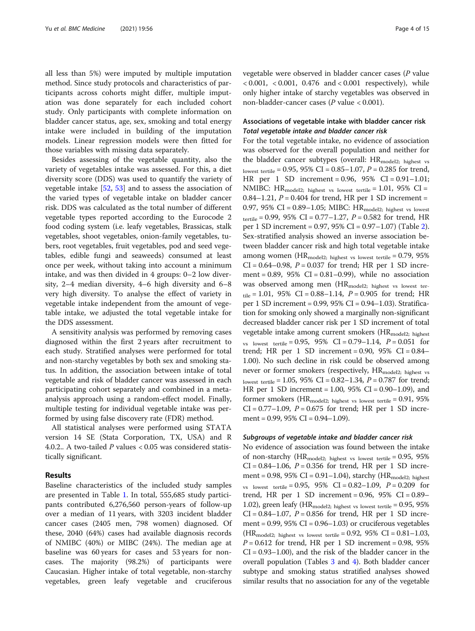all less than 5%) were imputed by multiple imputation method. Since study protocols and characteristics of participants across cohorts might differ, multiple imputation was done separately for each included cohort study. Only participants with complete information on bladder cancer status, age, sex, smoking and total energy intake were included in building of the imputation models. Linear regression models were then fitted for those variables with missing data separately.

Besides assessing of the vegetable quantity, also the variety of vegetables intake was assessed. For this, a diet diversity score (DDS) was used to quantify the variety of vegetable intake [\[52,](#page-13-0) [53](#page-13-0)] and to assess the association of the varied types of vegetable intake on bladder cancer risk. DDS was calculated as the total number of different vegetable types reported according to the Eurocode 2 food coding system (i.e. leafy vegetables, Brassicas, stalk vegetables, shoot vegetables, onion-family vegetables, tubers, root vegetables, fruit vegetables, pod and seed vegetables, edible fungi and seaweeds) consumed at least once per week, without taking into account a minimum intake, and was then divided in 4 groups: 0–2 low diversity, 2–4 median diversity, 4–6 high diversity and 6–8 very high diversity. To analyse the effect of variety in vegetable intake independent from the amount of vegetable intake, we adjusted the total vegetable intake for the DDS assessment.

A sensitivity analysis was performed by removing cases diagnosed within the first 2 years after recruitment to each study. Stratified analyses were performed for total and non-starchy vegetables by both sex and smoking status. In addition, the association between intake of total vegetable and risk of bladder cancer was assessed in each participating cohort separately and combined in a metaanalysis approach using a random-effect model. Finally, multiple testing for individual vegetable intake was performed by using false discovery rate (FDR) method.

All statistical analyses were performed using STATA version 14 SE (Stata Corporation, TX, USA) and R 4.0.2.. A two-tailed  $P$  values  $< 0.05$  was considered statistically significant.

#### Results

Baseline characteristics of the included study samples are presented in Table [1.](#page-4-0) In total, 555,685 study participants contributed 6,276,560 person-years of follow-up over a median of 11 years, with 3203 incident bladder cancer cases (2405 men, 798 women) diagnosed. Of these, 2040 (64%) cases had available diagnosis records of NMIBC (40%) or MIBC (24%). The median age at baseline was 60 years for cases and 53 years for noncases. The majority (98.2%) of participants were Caucasian. Higher intake of total vegetable, non-starchy vegetables, green leafy vegetable and cruciferous vegetable were observed in bladder cancer cases (P value  $< 0.001$ ,  $< 0.001$ ,  $0.476$  and  $< 0.001$  respectively), while only higher intake of starchy vegetables was observed in non-bladder-cancer cases ( $P$  value < 0.001).

#### Associations of vegetable intake with bladder cancer risk Total vegetable intake and bladder cancer risk

For the total vegetable intake, no evidence of association was observed for the overall population and neither for the bladder cancer subtypes (overall:  $HR_{model2:~highest~vs}$ lowest tertile = 0.95, 95% CI = 0.85–1.07,  $P = 0.285$  for trend, HR per 1 SD increment = 0.96, 95% CI = 0.91–1.01; NMIBC:  $HR_{model2}$ ; highest vs lowest tertile = 1.01, 95% CI = 0.84–1.21,  $P = 0.404$  for trend, HR per 1 SD increment = 0.97, 95% CI =  $0.89-1.05$ ; MIBC: HR<sub>model2; highest vs lowest</sub> tertile = 0.99, 95% CI = 0.77-1.27,  $P = 0.582$  for trend, HR per 1 SD increment = 0.97, 95% CI = 0.97–1.07) (Table [2](#page-6-0)). Sex-stratified analysis showed an inverse association between bladder cancer risk and high total vegetable intake among women  $(HR_{model2; highest vs lowest tertile} = 0.79, 95\%)$  $CI = 0.64 - 0.98$ ,  $P = 0.037$  for trend; HR per 1 SD increment =  $0.89$ ,  $95\%$  CI =  $0.81 - 0.99$ ), while no association was observed among men (HRmodel2; highest vs lowest ter- $_{\text{tile}}$  = 1.01, 95% CI = 0.88–1.14, P = 0.905 for trend; HR per 1 SD increment = 0.99, 95% CI = 0.94–1.03). Stratification for smoking only showed a marginally non-significant decreased bladder cancer risk per 1 SD increment of total vegetable intake among current smokers (HR<sub>model2; highest</sub> vs lowest tertile = 0.95, 95% CI = 0.79–1.14,  $P = 0.051$  for trend; HR per 1 SD increment =  $0.90$ ,  $95\%$  CI =  $0.84-$ 1.00). No such decline in risk could be observed among never or former smokers (respectively,  $HR_{model2:~highest~vs}$ lowest tertile = 1.05, 95% CI = 0.82–1.34,  $P = 0.787$  for trend; HR per 1 SD increment = 1.00, 95% CI = 0.90–1.09), and former smokers ( $HR_{model2; \text{ highest vs lowest tertile}} = 0.91, 95\%$  $CI = 0.77 - 1.09$ ,  $P = 0.675$  for trend; HR per 1 SD increment =  $0.99$ ,  $95\%$  CI =  $0.94-1.09$ ).

#### Subgroups of vegetable intake and bladder cancer risk

No evidence of association was found between the intake of non-starchy ( $HR_{model2;~highest~vs~lowest~tertile} = 0.95,~95\%$  $CI = 0.84 - 1.06$ ,  $P = 0.356$  for trend, HR per 1 SD increment = 0.98, 95% CI = 0.91-1.04), starchy ( $HR_{model2; highest}$ vs lowest tertile = 0.95, 95% CI = 0.82-1.09,  $P = 0.209$  for trend, HR per 1 SD increment =  $0.96$ ,  $95\%$  CI =  $0.89-$ 1.02), green leafy ( $HR_{model2}$ ; highest vs lowest tertile = 0.95, 95%  $CI = 0.84 - 1.07$ ,  $P = 0.856$  for trend, HR per 1 SD increment =  $0.99$ ,  $95\%$  CI =  $0.96-1.03$ ) or cruciferous vegetables  $(HR_{\text{model2}};$  highest vs lowest tertile = 0.92, 95% CI = 0.81–1.03,  $P = 0.612$  for trend, HR per 1 SD increment = 0.98, 95%  $CI = 0.93-1.00$ , and the risk of the bladder cancer in the overall population (Tables [3](#page-7-0) and [4\)](#page-8-0). Both bladder cancer subtype and smoking status stratified analyses showed similar results that no association for any of the vegetable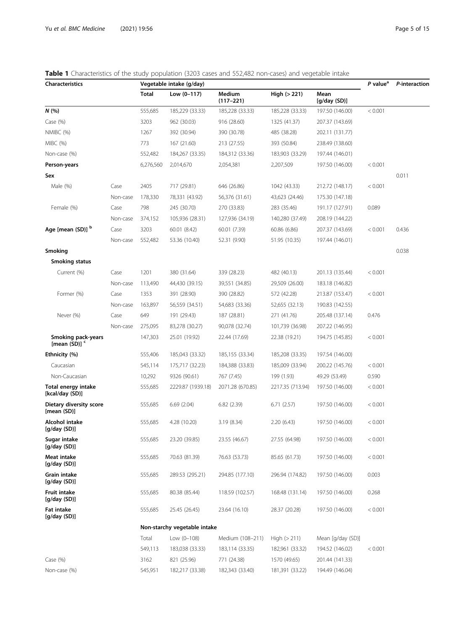### <span id="page-4-0"></span>Table 1 Characteristics of the study population (3203 cases and 552,482 non-cases) and vegetable intake

| <b>Characteristics</b>                   |          |              | Vegetable intake (g/day)     |                         |                  |                     | P value <sup>a</sup> | P-interaction |
|------------------------------------------|----------|--------------|------------------------------|-------------------------|------------------|---------------------|----------------------|---------------|
|                                          |          | <b>Total</b> | Low (0-117)                  | Medium<br>$(117 - 221)$ | High (> 221)     | Mean<br>[g/day(SD)] |                      |               |
| N(%                                      |          | 555,685      | 185,229 (33.33)              | 185,228 (33.33)         | 185,228 (33.33)  | 197.50 (146.00)     | < 0.001              |               |
| Case $(\%)$                              |          | 3203         | 962 (30.03)                  | 916 (28.60)             | 1325 (41.37)     | 207.37 (143.69)     |                      |               |
| NMIBC (%)                                |          | 1267         | 392 (30.94)                  | 390 (30.78)             | 485 (38.28)      | 202.11 (131.77)     |                      |               |
| MIBC (%)                                 |          | 773          | 167 (21.60)                  | 213 (27.55)             | 393 (50.84)      | 238.49 (138.60)     |                      |               |
| Non-case (%)                             |          | 552,482      | 184,267 (33.35)              | 184,312 (33.36)         | 183,903 (33.29)  | 197.44 (146.01)     |                      |               |
| Person-years                             |          | 6,276,560    | 2,014,670                    | 2,054,381               | 2,207,509        | 197.50 (146.00)     | < 0.001              |               |
| Sex                                      |          |              |                              |                         |                  |                     |                      | 0.011         |
| Male (%)                                 | Case     | 2405         | 717 (29.81)                  | 646 (26.86)             | 1042 (43.33)     | 212.72 (148.17)     | < 0.001              |               |
|                                          | Non-case | 178,330      | 78,331 (43.92)               | 56,376 (31.61)          | 43,623 (24.46)   | 175.30 (147.18)     |                      |               |
| Female (%)                               | Case     | 798          | 245 (30.70)                  | 270 (33.83)             | 283 (35.46)      | 191.17 (127.91)     | 0.089                |               |
|                                          | Non-case | 374,152      | 105,936 (28.31)              | 127,936 (34.19)         | 140,280 (37.49)  | 208.19 (144.22)     |                      |               |
| Age [mean (SD)] b                        | Case     | 3203         | 60.01 (8.42)                 | 60.01 (7.39)            | 60.86 (6.86)     | 207.37 (143.69)     | < 0.001              | 0.436         |
|                                          | Non-case | 552,482      | 53.36 (10.40)                | 52.31 (9.90)            | 51.95 (10.35)    | 197.44 (146.01)     |                      |               |
| Smoking                                  |          |              |                              |                         |                  |                     |                      | 0.038         |
| Smoking status                           |          |              |                              |                         |                  |                     |                      |               |
| Current (%)                              | Case     | 1201         | 380 (31.64)                  | 339 (28.23)             | 482 (40.13)      | 201.13 (135.44)     | < 0.001              |               |
|                                          | Non-case | 113,490      | 44,430 (39.15)               | 39,551 (34.85)          | 29,509 (26.00)   | 183.18 (146.82)     |                      |               |
| Former (%)                               | Case     | 1353         | 391 (28.90)                  | 390 (28.82)             | 572 (42.28)      | 213.87 (153.47)     | < 0.001              |               |
|                                          | Non-case | 163,897      | 56,559 (34.51)               | 54,683 (33.36)          | 52,655 (32.13)   | 190.83 (142.55)     |                      |               |
| Never (%)                                | Case     | 649          | 191 (29.43)                  | 187 (28.81)             | 271 (41.76)      | 205.48 (137.14)     | 0.476                |               |
|                                          | Non-case | 275,095      | 83,278 (30.27)               | 90,078 (32.74)          | 101,739 (36.98)  | 207.22 (146.95)     |                      |               |
| Smoking pack-years<br>[mean $(SD)$ ] $c$ |          | 147,303      | 25.01 (19.92)                | 22.44 (17.69)           | 22.38 (19.21)    | 194.75 (145.85)     | < 0.001              |               |
| Ethnicity (%)                            |          | 555,406      | 185,043 (33.32)              | 185,155 (33.34)         | 185,208 (33.35)  | 197.54 (146.00)     |                      |               |
| Caucasian                                |          | 545,114      | 175,717 (32.23)              | 184,388 (33.83)         | 185,009 (33.94)  | 200.22 (145.76)     | < 0.001              |               |
| Non-Caucasian                            |          | 10,292       | 9326 (90.61)                 | 767 (7.45)              | 199 (1.93)       | 49.29 (53.49)       | 0.590                |               |
| Total energy intake<br>[kcal/day (SD)]   |          | 555,685      | 2229.87 (1939.18)            | 2071.28 (670.85)        | 2217.35 (713.94) | 197.50 (146.00)     | < 0.001              |               |
| Dietary diversity score<br>[mean (SD)]   |          | 555,685      | 6.69(2.04)                   | 6.82(2.39)              | 6.71(2.57)       | 197.50 (146.00)     | < 0.001              |               |
| Alcohol intake<br>[g/day (SD)]           |          | 555,685      | 4.28 (10.20)                 | 3.19 (8.34)             | 2.20(6.43)       | 197.50 (146.00)     | < 0.001              |               |
| Sugar intake<br>[g/day(SD)]              |          | 555,685      | 23.20 (39.85)                | 23.55 (46.67)           | 27.55 (64.98)    | 197.50 (146.00)     | < 0.001              |               |
| Meat intake<br>[g/day(SD)]               |          | 555,685      | 70.63 (81.39)                | 76.63 (53.73)           | 85.65 (61.73)    | 197.50 (146.00)     | < 0.001              |               |
| Grain intake<br>[g/day(SD)]              |          | 555,685      | 289.53 (295.21)              | 294.85 (177.10)         | 296.94 (174.82)  | 197.50 (146.00)     | 0.003                |               |
| Fruit intake<br>[g/day(SD)]              |          | 555,685      | 80.38 (85.44)                | 118.59 (102.57)         | 168.48 (131.14)  | 197.50 (146.00)     | 0.268                |               |
| <b>Fat intake</b><br>[g/day(SD)]         |          | 555,685      | 25.45 (26.45)                | 23.64 (16.10)           | 28.37 (20.28)    | 197.50 (146.00)     | < 0.001              |               |
|                                          |          |              | Non-starchy vegetable intake |                         |                  |                     |                      |               |
|                                          |          | Total        | Low $(0-108)$                | Medium (108-211)        | High $(> 211)$   | Mean [g/day (SD)]   |                      |               |
|                                          |          | 549,113      | 183,038 (33.33)              | 183,114 (33.35)         | 182,961 (33.32)  | 194.52 (146.02)     | < 0.001              |               |
| Case $(\%)$                              |          | 3162         | 821 (25.96)                  | 771 (24.38)             | 1570 (49.65)     | 201.44 (141.33)     |                      |               |
| Non-case (%)                             |          | 545,951      | 182,217 (33.38)              | 182,343 (33.40)         | 181,391 (33.22)  | 194.49 (146.04)     |                      |               |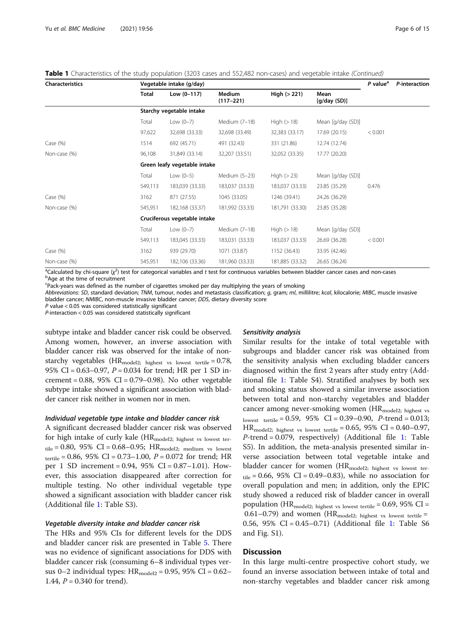| <b>Characteristics</b> |              | Vegetable intake (g/day)     |                                |                |                     | $P$ value <sup>a</sup> | P-interaction |
|------------------------|--------------|------------------------------|--------------------------------|----------------|---------------------|------------------------|---------------|
|                        | <b>Total</b> | Low (0-117)                  | <b>Medium</b><br>$(117 - 221)$ | High $(>221)$  | Mean<br>[g/day(SD)] |                        |               |
|                        |              | Starchy vegetable intake     |                                |                |                     |                        |               |
|                        | Total        | Low $(0-7)$                  | Medium (7-18)                  | High $(>18)$   | Mean [g/day (SD)]   |                        |               |
|                        | 97,622       | 32.698 (33.33)               | 32.698 (33.49)                 | 32,383 (33.17) | 17.69 (20.15)       | < 0.001                |               |
| Case (%)               | 1514         | 692 (45.71)                  | 491 (32.43)                    | 331 (21.86)    | 12.74 (12.74)       |                        |               |
| Non-case (%)           | 96.108       | 31.849 (33.14)               | 32.207 (33.51)                 | 32.052 (33.35) | 17.77 (20.20)       |                        |               |
|                        |              | Green leafy vegetable intake |                                |                |                     |                        |               |

Total Low (0–5) Medium (5–23) High (> 23) Mean [g/day (SD)] 549,113 183,039 (33.33) 183,037 (33.33) 183,037 (33.33) 23.85 (35.29) 0.476

Total Low (0-7) Medium (7-18) High (> 18) Mean [g/day (SD)] 549,113 183,045 (33.33) 183,031 (33.33) 183,037 (33.33) 26.69 (36.28) < 0.001

Table 1 Characteris

<sup>a</sup>Calculated by chi-square (χ<sup>2</sup>) test for categorical variables and t test for continuous variables between bladder cancer cases and non-cases<br><sup>b</sup>Age at the time of recruitment b Age at the time of recruitment

Pack-years was defined as the number of cigarettes smoked per day multiplying the years of smoking

Cruciferous vegetable intake

Case (%) 3162 871 (27.55) 1045 (33.05) 1246 (39.41) 24.26 (36.29) Non-case (%) 545,951 182,168 (33.37) 181,992 (33.33) 181,791 (33.30) 23.85 (35.28)

Case (%) 3162 939 (29.70) 1071 (33.87) 1152 (36.43) 33.95 (42.46) Non-case (%) 545,951 182,106 (33.36) 181,960 (33.33) 181,885 (33.32) 26.65 (36.24)

Abbreviations: SD, standard deviation; TNM, tumour, nodes and metastasis classification; q, gram; ml, millilitre; kcal, kilocalorie; MIBC, muscle invasive bladder cancer; NMIBC, non-muscle invasive bladder cancer; DDS, dietary diversity score

P value < 0.05 was considered statistically significant

P-interaction < 0.05 was considered statistically significant

subtype intake and bladder cancer risk could be observed. Among women, however, an inverse association with bladder cancer risk was observed for the intake of nonstarchy vegetables  $(HR_{model2; highest vs lowest tertile} = 0.78,$ 95% CI = 0.63–0.97, P = 0.034 for trend; HR per 1 SD increment =  $0.88$ ,  $95\%$  CI =  $0.79-0.98$ ). No other vegetable subtype intake showed a significant association with bladder cancer risk neither in women nor in men.

#### Individual vegetable type intake and bladder cancer risk

A significant decreased bladder cancer risk was observed for high intake of curly kale (HR<sub>model2; highest vs lowest ter-</sub>  $_{\text{tile}}$  = 0.80, 95% CI = 0.68–0.95; HR<sub>model2; medium vs lowest</sub> tertile = 0.86, 95% CI = 0.73–1.00,  $P = 0.072$  for trend; HR per 1 SD increment =  $0.94$ ,  $95\%$  CI =  $0.87-1.01$ ). However, this association disappeared after correction for multiple testing. No other individual vegetable type showed a significant association with bladder cancer risk (Additional file [1](#page-11-0): Table S3).

#### Vegetable diversity intake and bladder cancer risk

The HRs and 95% CIs for different levels for the DDS and bladder cancer risk are presented in Table [5.](#page-9-0) There was no evidence of significant associations for DDS with bladder cancer risk (consuming 6–8 individual types versus 0–2 individual types:  $HR_{model2} = 0.95, 95\% \text{ CI} = 0.62$ – 1.44,  $P = 0.340$  for trend).

#### Sensitivity analysis

Similar results for the intake of total vegetable with subgroups and bladder cancer risk was obtained from the sensitivity analysis when excluding bladder cancers diagnosed within the first 2 years after study entry (Additional file [1](#page-11-0): Table S4). Stratified analyses by both sex and smoking status showed a similar inverse association between total and non-starchy vegetables and bladder cancer among never-smoking women (HR<sub>model2; highest vs</sub> lowest tertile =  $0.59$ ,  $95\%$  CI =  $0.39-0.90$ , P-trend =  $0.013$ ;  $HR_{model2;~highest~vs~lowest~tertile} = 0.65,~95\%~CI = 0.40-0.97,$ P-trend = 0.079, respectively) (Additional file [1](#page-11-0): Table S5). In addition, the meta-analysis presented similar inverse association between total vegetable intake and bladder cancer for women (HRmodel2; highest vs lowest ter- $_{\text{tile}}$  = 0.66, 95% CI = 0.49–0.83), while no association for overall population and men; in addition, only the EPIC study showed a reduced risk of bladder cancer in overall population (HR<sub>model2; highest vs lowest tertile</sub> = 0.69, 95% CI = 0.61–0.79) and women ( $HR_{model2}$ ; highest vs lowest tertile = 0.56, 95% CI = 0.45–0.71) (Additional file [1:](#page-11-0) Table S6 and Fig. S1).

#### Discussion

In this large multi-centre prospective cohort study, we found an inverse association between intake of total and non-starchy vegetables and bladder cancer risk among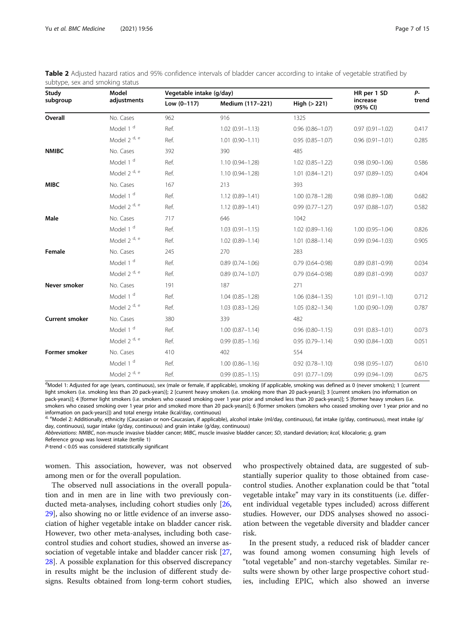<span id="page-6-0"></span>

| Table 2 Adjusted hazard ratios and 95% confidence intervals of bladder cancer according to intake of vegetable stratified by |  |  |  |  |  |
|------------------------------------------------------------------------------------------------------------------------------|--|--|--|--|--|
| subtype, sex and smoking status                                                                                              |  |  |  |  |  |

| Study                 | Model                   | Vegetable intake (g/day) |                     |                     | HR per 1 SD          | P-    |
|-----------------------|-------------------------|--------------------------|---------------------|---------------------|----------------------|-------|
| subgroup              | adjustments             | Low $(0-117)$            | Medium (117-221)    | High $(>221)$       | increase<br>(95% CI) | trend |
| Overall               | No. Cases               | 962                      | 916                 | 1325                |                      |       |
|                       | Model 1 <sup>d</sup>    | Ref.                     | $1.02(0.91 - 1.13)$ | $0.96(0.86 - 1.07)$ | $0.97(0.91 - 1.02)$  | 0.417 |
|                       | Model 2 <sup>d, e</sup> | Ref.                     | $1.01(0.90 - 1.11)$ | $0.95(0.85 - 1.07)$ | $0.96(0.91 - 1.01)$  | 0.285 |
| <b>NMIBC</b>          | No. Cases               | 392                      | 390                 | 485                 |                      |       |
|                       | Model 1 <sup>d</sup>    | Ref.                     | $1.10(0.94 - 1.28)$ | $1.02(0.85 - 1.22)$ | $0.98(0.90 - 1.06)$  | 0.586 |
|                       | Model 2 <sup>d, e</sup> | Ref.                     | $1.10(0.94 - 1.28)$ | $1.01(0.84 - 1.21)$ | $0.97(0.89 - 1.05)$  | 0.404 |
| <b>MIBC</b>           | No. Cases               | 167                      | 213                 | 393                 |                      |       |
|                       | Model 1 <sup>d</sup>    | Ref.                     | $1.12(0.89 - 1.41)$ | $1.00(0.78 - 1.28)$ | $0.98(0.89 - 1.08)$  | 0.682 |
|                       | Model 2 <sup>d, e</sup> | Ref.                     | $1.12(0.89 - 1.41)$ | $0.99(0.77 - 1.27)$ | $0.97(0.88 - 1.07)$  | 0.582 |
| Male                  | No. Cases               | 717                      | 646                 | 1042                |                      |       |
|                       | Model 1 <sup>d</sup>    | Ref.                     | $1.03(0.91 - 1.15)$ | $1.02(0.89 - 1.16)$ | $1.00(0.95 - 1.04)$  | 0.826 |
|                       | Model 2 <sup>d, e</sup> | Ref.                     | $1.02(0.89 - 1.14)$ | $1.01(0.88 - 1.14)$ | $0.99(0.94 - 1.03)$  | 0.905 |
| Female                | No. Cases               | 245                      | 270                 | 283                 |                      |       |
|                       | Model 1 <sup>d</sup>    | Ref.                     | $0.89(0.74 - 1.06)$ | $0.79(0.64 - 0.98)$ | $0.89(0.81 - 0.99)$  | 0.034 |
|                       | Model 2 <sup>d, e</sup> | Ref.                     | $0.89(0.74 - 1.07)$ | $0.79(0.64 - 0.98)$ | $0.89(0.81 - 0.99)$  | 0.037 |
| Never smoker          | No. Cases               | 191                      | 187                 | 271                 |                      |       |
|                       | Model 1 <sup>d</sup>    | Ref.                     | $1.04(0.85 - 1.28)$ | $1.06(0.84 - 1.35)$ | $1.01(0.91 - 1.10)$  | 0.712 |
|                       | Model 2 <sup>d, e</sup> | Ref.                     | $1.03(0.83 - 1.26)$ | $1.05(0.82 - 1.34)$ | $1.00(0.90 - 1.09)$  | 0.787 |
| <b>Current smoker</b> | No. Cases               | 380                      | 339                 | 482                 |                      |       |
|                       | Model 1 <sup>d</sup>    | Ref.                     | $1.00(0.87 - 1.14)$ | $0.96(0.80 - 1.15)$ | $0.91(0.83 - 1.01)$  | 0.073 |
|                       | Model 2 <sup>d, e</sup> | Ref.                     | $0.99(0.85 - 1.16)$ | $0.95(0.79 - 1.14)$ | $0.90(0.84 - 1.00)$  | 0.051 |
| Former smoker         | No. Cases               | 410                      | 402                 | 554                 |                      |       |
|                       | Model 1 <sup>d</sup>    | Ref.                     | $1.00(0.86 - 1.16)$ | $0.92(0.78 - 1.10)$ | $0.98(0.95 - 1.07)$  | 0.610 |
|                       | Model 2 <sup>d, e</sup> | Ref.                     | $0.99(0.85 - 1.15)$ | $0.91(0.77 - 1.09)$ | $0.99(0.94 - 1.09)$  | 0.675 |

<sup>d</sup>Model 1: Adjusted for age (years, continuous), sex (male or female, if applicable), smoking (if applicable, smoking was defined as 0 (never smokers); 1 [current light smokers (i.e. smoking less than 20 pack-years)]; 2 [current heavy smokers (i.e. smoking more than 20 pack-years)]; 3 [current smokers (no information on pack-years)]; 4 [former light smokers (i.e. smokers who ceased smoking over 1 year prior and smoked less than 20 pack-years)]; 5 [former heavy smokers (i.e. smokers who ceased smoking over 1 year prior and smoked more than 20 pack-years)]; 6 [former smokers (smokers who ceased smoking over 1 year prior and no information on pack-years)]) and total energy intake (kcal/day, continuous)

d, eModel 2: Additionally, ethnicity (Caucasian or non-Caucasian, if applicable), alcohol intake (ml/day, continuous), fat intake (g/day, continuous), meat intake (g/ day, continuous), sugar intake (g/day, continuous) and grain intake (g/day, continuous)

Abbreviations: NMIBC, non-muscle invasive bladder cancer; MIBC, muscle invasive bladder cancer; SD, standard deviation; kcal, kilocalorie; g, gram

Reference group was lowest intake (tertile 1)

P-trend < 0.05 was considered statistically significant

women. This association, however, was not observed among men or for the overall population.

The observed null associations in the overall population and in men are in line with two previously conducted meta-analyses, including cohort studies only [[26](#page-12-0), [29\]](#page-12-0), also showing no or little evidence of an inverse association of higher vegetable intake on bladder cancer risk. However, two other meta-analyses, including both casecontrol studies and cohort studies, showed an inverse association of vegetable intake and bladder cancer risk [[27](#page-12-0), [28\]](#page-12-0). A possible explanation for this observed discrepancy in results might be the inclusion of different study designs. Results obtained from long-term cohort studies,

who prospectively obtained data, are suggested of substantially superior quality to those obtained from casecontrol studies. Another explanation could be that "total vegetable intake" may vary in its constituents (i.e. different individual vegetable types included) across different studies. However, our DDS analyses showed no association between the vegetable diversity and bladder cancer risk.

In the present study, a reduced risk of bladder cancer was found among women consuming high levels of "total vegetable" and non-starchy vegetables. Similar results were shown by other large prospective cohort studies, including EPIC, which also showed an inverse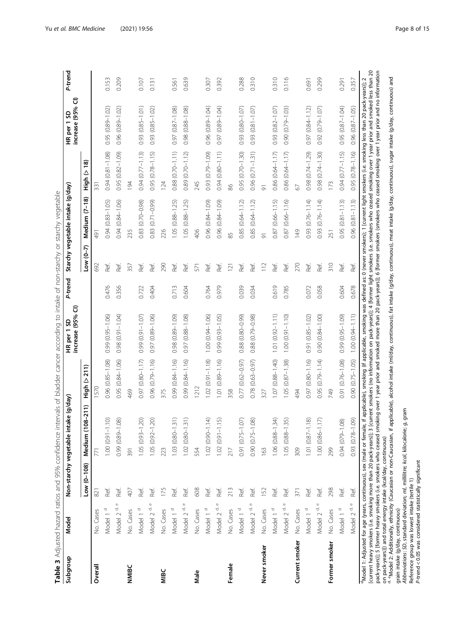| j                                                             |  |
|---------------------------------------------------------------|--|
| ֦                                                             |  |
| í<br>i<br>i                                                   |  |
| $\ddot{\cdot}$                                                |  |
| j                                                             |  |
| ¢<br>ׇ֚֬֕֓֕֬֓֕֬֓֬֓֓֬֓֬֓֬֓֬֓֬֓֬֓֬֓֬֝֓֬֝֬֓֬֓֬֓֓֬֝֓֬<br>i<br>١   |  |
| $\frac{1}{2}$<br>$\frac{1}{2}$                                |  |
| ׇ֬֕֡<br>Ì                                                     |  |
|                                                               |  |
| Ì<br>ï                                                        |  |
| i<br>i                                                        |  |
| $\mathbf{I}$                                                  |  |
| Ò                                                             |  |
|                                                               |  |
|                                                               |  |
| ¢<br>1<br>J                                                   |  |
| ť<br>j<br>į                                                   |  |
|                                                               |  |
| í                                                             |  |
| í<br>ļ                                                        |  |
| ī<br>֬֕֕<br>֘֒                                                |  |
| Ï<br>ţ                                                        |  |
| J<br>ţ<br>ï<br>۱                                              |  |
| Ó                                                             |  |
| i<br>j<br>۱<br>ׇׇ֠֕֡                                          |  |
| ļ<br>i<br>Ï                                                   |  |
| l                                                             |  |
| Ó<br>Ì<br>i<br>.<br>]                                         |  |
| ī<br>i<br>ī<br>i                                              |  |
|                                                               |  |
| ĺ                                                             |  |
|                                                               |  |
| ì                                                             |  |
|                                                               |  |
| ì                                                             |  |
|                                                               |  |
| ļ<br>d                                                        |  |
| ī                                                             |  |
| İ                                                             |  |
| Ò<br>Ì                                                        |  |
| ś<br>í                                                        |  |
|                                                               |  |
|                                                               |  |
| Š<br>Ï                                                        |  |
| Ò                                                             |  |
| i<br>T<br>$\overline{\phantom{a}}$                            |  |
|                                                               |  |
| ì<br>֖֖֖֖֖֪֪֪֚֚֚֚֚֚֚֚֚֚֚֚֬֝֝֓֬֝֓֬֝֓֬֝֓֬֝֬֝֓֬֝֓<br>į<br>۱<br>ī |  |
| í<br>ï<br>١                                                   |  |
| ţ                                                             |  |
| ī<br>i<br>ł<br>i                                              |  |
| ŧ<br>ı                                                        |  |
| ī                                                             |  |
|                                                               |  |
|                                                               |  |
| ׇ֚֓֡<br>ē                                                     |  |
| E<br>7                                                        |  |
| ļ                                                             |  |

<span id="page-7-0"></span>

| Subgroup                                                                         | Model                                |                  | Non-starchy vegetable intake (g/day)                                                                                                                                                                                                                                                                                                                                                                                                      |                        | ີວ<br>increase (95%<br>HR per 1 SD | P-trend |                   | Starchy vegetable intake (g/day) |                          | ອ<br>increase (95%<br>HR per 1 SD                                                                                                                      | P-trend |
|----------------------------------------------------------------------------------|--------------------------------------|------------------|-------------------------------------------------------------------------------------------------------------------------------------------------------------------------------------------------------------------------------------------------------------------------------------------------------------------------------------------------------------------------------------------------------------------------------------------|------------------------|------------------------------------|---------|-------------------|----------------------------------|--------------------------|--------------------------------------------------------------------------------------------------------------------------------------------------------|---------|
|                                                                                  |                                      | $Low (0-108)$    | Medium (108-211)                                                                                                                                                                                                                                                                                                                                                                                                                          | High (> 211)           |                                    |         | Low $(0-7)$       | Medium (7-18)                    | $\frac{8}{2}$<br><) dpiH |                                                                                                                                                        |         |
| Overall                                                                          | No. Cases                            | $\approx$        | 771                                                                                                                                                                                                                                                                                                                                                                                                                                       | 1570                   |                                    |         | 692               | ģ,                               | $\overline{33}$          |                                                                                                                                                        |         |
|                                                                                  | Model 1 <sup>d</sup>                 | Ref.             | $1.00(0.91 - 1.0)$                                                                                                                                                                                                                                                                                                                                                                                                                        | $0.96(0.85 - 1.08)$    | $0.99$ $(0.95 - 1.06)$             | 0.476   | Ref.              | $0.94(0.83 - 1.05)$              | $0.94(0.81 - 1.08)$      | 0.95 (0.89-1.02)                                                                                                                                       | 0.153   |
|                                                                                  | $\mathbb U$<br>Model 2 <sup>d,</sup> | Ref.             | 0.99 (0.89-1.08)                                                                                                                                                                                                                                                                                                                                                                                                                          | 0.95 (0.84-1.06)       | $(10.1 - 1.09)$ 8                  | 0.356   | Ref.              | $0.94(0.84 - 1.06)$              | $0.95(0.82 - 1.09)$      | $0.96(0.89 - 1.02)$                                                                                                                                    | 0.209   |
| NMIRC                                                                            | No. Cases                            | 407              | 391                                                                                                                                                                                                                                                                                                                                                                                                                                       | 469                    |                                    |         | 357               | 235                              | 194                      |                                                                                                                                                        |         |
|                                                                                  | Model 1 <sup>d</sup>                 | Ref.             | 1.05 (0.93-1.20)                                                                                                                                                                                                                                                                                                                                                                                                                          | $0.97$ $(0.80 - 1.17)$ | $0.99$ $(0.91 - 1.07)$             | 0.722   | Ref.              | 0.83 (0.70-0.98)                 | $0.94(0.77 - 1.13)$      | $0.93$ $(0.85 - 1.01)$                                                                                                                                 | 0.107   |
|                                                                                  | $\mathbb O$<br>Model 2 <sup>d,</sup> | Ref.             | 1.05 (0.92-1.20)                                                                                                                                                                                                                                                                                                                                                                                                                          | $0.96(0.79 - 1.16)$    | $0.97(0.89 - 1.06)$                | 0.404   | Ref.              | $(0.71 - 0.99)$<br>0.83          | $0.95(0.78 - 1.15)$      | $0.93$ $(0.85 - 1.02)$                                                                                                                                 | 0.131   |
| <b>MIBC</b>                                                                      | No. Cases                            | 175              | 223                                                                                                                                                                                                                                                                                                                                                                                                                                       | 375                    |                                    |         | 290               | 226                              | 124                      |                                                                                                                                                        |         |
|                                                                                  | Model 1 <sup>d</sup>                 | Ref.             | $1.03(0.80 - 1.31)$                                                                                                                                                                                                                                                                                                                                                                                                                       | 0.99 (0.84-1.16)       | 0.98 (0.89-1.09)                   | 0.713   | Ref.              | 1.05 (0.88-1.25)                 | $0.88$ $(0.70 - 1.11)$   | $0.97$ $(0.87 - 1.08)$                                                                                                                                 | 0.561   |
|                                                                                  | $\mathbb O$<br>Model 2 <sup>d,</sup> | Ref.             | $1.02(0.80 - 1.31)$                                                                                                                                                                                                                                                                                                                                                                                                                       | 0.99 (0.84-1.16)       | $(0.88 - 1.08)$<br>0.97            | 0.604   | Ref.              | 1.05 (0.88-1.25)                 | $0.89(0.70 - 1.12)$      | 0.98 (0.88-1.08)                                                                                                                                       | 0.639   |
| Male                                                                             | No. Cases                            | 608              | 554                                                                                                                                                                                                                                                                                                                                                                                                                                       | 1212                   |                                    |         | 571               | 406                              | 245                      |                                                                                                                                                        |         |
|                                                                                  | Model 1 <sup>d</sup>                 | Ref.             | $1.02(0.90 - 1.14)$                                                                                                                                                                                                                                                                                                                                                                                                                       | $1.02(0.91 - 1.18)$    | $1.00(0.94 - 1.06)$                | 0.764   | Ref.              | $0.96(0.84 - 1.09)$              | 0.93 (0.79-1.09)         | $0.96(0.89 - 1.04)$                                                                                                                                    | 0.307   |
|                                                                                  | $\mathbb O$<br>Model 2 <sup>d,</sup> | Ref.             | $1.02(0.91 - 1.15)$                                                                                                                                                                                                                                                                                                                                                                                                                       | 1.01 (0.89-1.16)       | $0.99(0.93 - 1.05)$                | 0.979   | Ref.              | $0.96$ $(0.84 - 1.09)$           | $(0.80 - 1.11)$<br>0.94  | $(0.89 - 1.04)$<br>0.97                                                                                                                                | 0.392   |
| Female                                                                           | No. Cases                            | 213              | 217                                                                                                                                                                                                                                                                                                                                                                                                                                       | 358                    |                                    |         | $\overline{\geq}$ | 85                               | 86                       |                                                                                                                                                        |         |
|                                                                                  | Model 1 <sup>d</sup>                 | Ref.             | 0.91 (0.75-1.07)                                                                                                                                                                                                                                                                                                                                                                                                                          | 0.77 (0.62-0.97)       | 0.88 (0.80-0.99)                   | 0.039   | Ref.              | $0.85(0.64 - 1.12)$              | $0.95(0.70 - 1.30)$      | $0.93$ $(0.80 - 1.07)$                                                                                                                                 | 0.288   |
|                                                                                  | $\mathbb U$<br>Model 2 <sup>d,</sup> | Ref.             | 0.90 (0.75-1.08)                                                                                                                                                                                                                                                                                                                                                                                                                          | $0.78(0.63 - 0.97)$    | 0.88 (0.79-0.98)                   | 0.034   | Ref.              | $0.85(0.64 - 1.12)$              | $(0.71 - 1.31)$<br>0.96  | $(0.81 - 1.07)$<br>0.93                                                                                                                                | 0.310   |
| Never smoker                                                                     | No. Cases                            | 152              | 163                                                                                                                                                                                                                                                                                                                                                                                                                                       | 327                    |                                    |         | 112               | $\overline{5}$                   | $\overline{6}$           |                                                                                                                                                        |         |
|                                                                                  | Model 1 <sup>d</sup>                 | Ref.             | $1.06$ $(0.88 - 1.34)$                                                                                                                                                                                                                                                                                                                                                                                                                    | $1.07(0.88 - 1.40)$    | $1.01 (0.92 - 1.11)$               | 0.619   | Ref.              | $0.87(0.66 - 1.15)$              | $0.86$ $(0.64 - 1.17)$   | $0.93$ $(0.82 - 1.07)$                                                                                                                                 | 0.310   |
|                                                                                  | $\mathbb O$<br>Model 2 <sup>d,</sup> | Ref.             | 1.05 (0.88-1.35)                                                                                                                                                                                                                                                                                                                                                                                                                          | $1.05(0.87 - 1.38)$    | $1.00 (0.91 - 1.0)$                | 0.785   | Ref.              | $(0.66 - 1.16)$<br>0.87          | $0.86$ $(0.64 - 1.17)$   | $0.90(0.79 - 1.03)$                                                                                                                                    | 0.116   |
| Current smoker                                                                   | No. Cases                            | $\overline{371}$ | 309                                                                                                                                                                                                                                                                                                                                                                                                                                       | 494                    |                                    |         | 270               | 149                              | 67                       |                                                                                                                                                        |         |
|                                                                                  | Model 1 <sup>d</sup>                 | Ref.             | ∞<br>$1.01 (0.87 - 1.1)$                                                                                                                                                                                                                                                                                                                                                                                                                  | $0.97$ $(0.80 - 1.16)$ | $0.91(0.85 - 1.02)$                | 0.072   | Ref.              | $0.93(0.76 - 1.14)$              | $0.98$ $(0.74 - 1.29)$   | $0.97(0.84 - 1.12)$                                                                                                                                    | 0.691   |
|                                                                                  | $\mathbb U$<br>Model 2 <sup>d,</sup> | Ref.             | 1.00 (0.86-1.17)                                                                                                                                                                                                                                                                                                                                                                                                                          | $0.95(0.79 - 1.14)$    | $0.90(0.84 - 1.00)$                | 0.058   | Ref.              | 0.93 (0.76-1.14)                 | $0.98(0.74 - 1.30)$      | 0.92 (0.79-1.07)                                                                                                                                       | 0.299   |
| Former smoker                                                                    | No. Cases                            | 298              | 299                                                                                                                                                                                                                                                                                                                                                                                                                                       | 749                    |                                    |         | 310               | 251                              | 173                      |                                                                                                                                                        |         |
|                                                                                  | Model 1 <sup>d</sup>                 | Ref.             | 0.94 (079-1.08)                                                                                                                                                                                                                                                                                                                                                                                                                           | 0.91 (0.76-1.08)       | 0.99 (0.95-1.09)                   | 0.604   | Ref.              | $0.95(0.81 - 1.13)$              | $0.94(0.77 - 1.15)$      | $0.95(0.87 - 1.04)$                                                                                                                                    | 0.291   |
|                                                                                  | $\mathbb U$<br>Model 2 <sup>d,</sup> | Ref.             | 0.93 (0.78-1.09)                                                                                                                                                                                                                                                                                                                                                                                                                          | $0.90(0.75 - 1.05)$    | $1.00(0.94 - 1.11)$                | 0.678   | Ref.              | $0.96(0.81 - 1.13)$              | $0.95(0.78 - 1.16)$      | $0.96(0.87 - 1.05)$                                                                                                                                    | 0.357   |
| <sup>d</sup> Model 1: Adjusted for age (years, continuous), sex (male or female, |                                      |                  | current heavy smokers (i.e. smoking more than 20 pack-years)]; 3 [current smokers (no information on pack-years)]; 4 [former light smokers (i.e. smokers who ceased smoking over 1 year prior and smoked less than 20<br>ack-years)]; 5 [former heavy smokers (i.e. smokers who ceased smoking over 1 year prior and smoked more than 20 pack-years)]; 6 [former smokers (smokers who ceased smoking over 1 year prior and no information |                        |                                    |         |                   |                                  |                          | If applicable), smoking (If applicable, smoking was defined as: 0 (never smokers); 1 [current light smokers (i.e. smoking less than 20 pack-years)]; 2 |         |

on pack-years))) and total energy intake (kcal/day, continuous)<br><sup>d. e</sup>Model 2: Additionally, ethnicity (Caucasian or non-Caucasian, if applicable), alcohol intake (ml/day, continuous), fat intake (g/day, continuous), meat d, eModel 2: Additionally, ethnicity (Caucasian or non-Caucasian, if applicable), alcohol intake (ml/day, continuous), fat intake (g/day, continuous), meat intake (g/day, continuous), sugar intake (g/day, continuous) and י<br>ת  $\overline{\phantom{a}}$ .<br>ת on pack-years)]) and total energy intake (kcal/day, continuous)

grain intake (g/day, continuous)<br>Abbreviations: SD, standard deviation; *ml*, milllitre; *kcal,* kilocalorie; *g*, gram<br>Reference group was lowest intake (tertile 1)<br>P-trend <0.05 was considered statistically significant grain intake (g/day, continuous)

Abbreviations: SD, standard deviation; ml, millilitre; kcal, kilocalorie; g, gram

Reference group was lowest intake (tertile 1) P-trend < 0.05 was considered statistically significant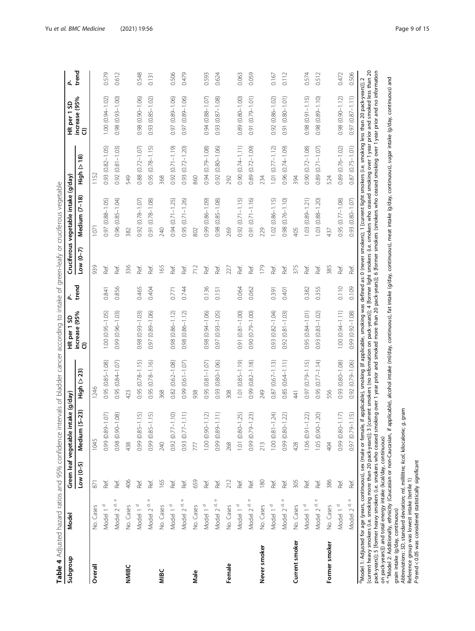<span id="page-8-0"></span>

| Model 2 <sup>d,</sup><br>Model 1 <sup>d</sup><br>Model 1 <sup>d</sup><br>No. Cases<br>No. Cases<br>Overall<br>NMIBC |               |             | intake (g/day)<br>Green leaf vegetable |                         |                                     | ď.    |             | Cruciferous vegetable intake (g/day) |                         | HR per 1 SD            | ፈ     |
|---------------------------------------------------------------------------------------------------------------------|---------------|-------------|----------------------------------------|-------------------------|-------------------------------------|-------|-------------|--------------------------------------|-------------------------|------------------------|-------|
|                                                                                                                     |               | $Low (0-5)$ | $(5 - 23)$<br>Medium                   | High ( > 23)            | HR per 1 SD<br>increase (95%<br>Cl) | trend | $Low (0-7)$ | Medium (7-18)                        | High ( > 18)            | increase (95%<br>Cl)   | trend |
|                                                                                                                     |               | 871         | 1045                                   | 1246                    |                                     |       | 939         | $\overline{10}$                      | 1152                    |                        |       |
|                                                                                                                     |               | Ref.        | 0.99 (0.89-1.07)                       | $0.95(0.85 - 1.08)$     | $1.00(0.95 - 1.05)$                 | 0.841 | Ref.        | 0.97 (0.88-1.05)                     | $0.93$ $(0.82 - 1.05)$  | $1.00(0.94 - 1.02)$    | 0.579 |
|                                                                                                                     | $\mathbb U$   | Ref.        | 0.98 (0.90-1.08)                       | 0.95 (0.84-1.07)        | $0.99(0.96 - 1.03)$                 | 0.856 | Ref.        | $0.96(0.85 - 1.04)$                  | $0.92(0.81 - 1.03)$     | $0.98(0.93 - 1.00)$    | 0.612 |
|                                                                                                                     |               | 406         | 438                                    | 423                     |                                     |       | 336         | 382                                  | 549                     |                        |       |
|                                                                                                                     |               | Ref.        | 0.99 (0.85-1.15)                       | $0.95(0.78 - 1.15)$     | $0.98(0.93 - 1.03)$                 | 0.465 | Ref.        | 0.92 (0.78-1.07)                     | $0.88$ $(0.72 - 1.07)$  | $0.98$ $(0.90 - 1.06)$ | 0.548 |
| Model 2 <sup>d,</sup>                                                                                               | $^\mathrm{o}$ | Ref.        | $0.99(0.85 - 1.15)$                    | $0.95(0.78 - 1.16)$     | 0.97 (0.89-1.06)                    | 0.404 | Ref.        | 0.91 (0.78-1.08)                     | $0.95(0.78 - 1.15)$     | 0.93 (0.85-1.02)       | 0.131 |
| No. Cases<br>MIBC                                                                                                   |               | 165         | 240                                    | 368                     |                                     |       | 165         | 240                                  | 368                     |                        |       |
| Model 1 <sup>d</sup>                                                                                                |               | Ref.        | $0.92(0.77 - 1.10)$                    | $0.82(0.62 - 1.08)$     | $0.98(0.86 - 1.12)$                 | 0.771 | Ref.        | $0.94(0.71 - 1.25)$                  | $0.92(0.71 - 1.19)$     | 0.97 (0.89-1.06)       | 0.506 |
| Model 2 <sup>d,</sup>                                                                                               | $\mathbb U$   | Ref.        | $7 - 1.11$<br>0.93 (0.77               | $0.99(0.61 - 1.07)$     | $0.98(0.86 - 1.12)$                 | 0.744 | Ref.        | $0.95(0.71 - 1.26)$                  | 0.93 (0.72-1.20)        | 0.97 (0.89-1.06)       | 0.479 |
| No. Cases<br>Male                                                                                                   |               | 659         | 777                                    | 938                     |                                     |       | 712         | 802                                  | 860                     |                        |       |
| Model 1 <sup>d</sup>                                                                                                |               | Ref.        | $1.00(0.90 - 1.12)$                    | $0.95(0.81 - 1.07)$     | 0.98 (0.94-1.06)                    | 0.136 | Ref.        | $0.99(0.86 - 1.09)$                  | $0.94(0.79 - 1.08)$     | $0.94(0.88 - 1.07)$    | 0.593 |
| Model 2 <sup>d</sup>                                                                                                | $\mathbb U$   | Ref.        | 0.99 (0.89-1.11)                       | 0.93 (0.80-1.06)        | 0.97 (0.93-1.05)                    | 0.151 | Ref.        | $0.98(0.85 - 1.08)$                  | $0.92(0.80 - 1.06)$     | $0.93(0.87 - 1.08)$    | 0.624 |
| No. Cases<br>Female                                                                                                 |               | 212         | 268                                    | 308                     |                                     |       | 227         | 269                                  | 292                     |                        |       |
| Model 1 <sup>d</sup>                                                                                                |               | Ref.        | 1.01 (0.80-1.25)                       | 1.01 (0.85-1.19)        | 0.91 (0.81-1.00)                    | 0.064 | Ref.        | $0.92(0.71 - 1.15)$                  | $0.90(0.74 - 1.11)$     | 0.89 (0.80-1.00)       | 0.063 |
| Model 2 <sup>d</sup>                                                                                                | $\mathbb U$   | Ref.        | 0.99 (0.79-1.23)                       | $0.99(0.82 - 1.18)$     | $0.90(0.79 - 1.00)$                 | 0.062 | Ref.        | $0.91(0.71 - 1.16)$                  | 0.89 (0.72-1.09)        | 0.91 (0.79-1.01)       | 0.059 |
| No. Cases<br>Never smoker                                                                                           |               | 180         | 213                                    | 249                     |                                     |       | 179         | 229                                  | 234                     |                        |       |
| Model 1 <sup>d</sup>                                                                                                |               | Ref.        | $1 - 1.24$<br>1.00 (0.8)               | $0.87(0.67 - 1.13)$     | $0.93(0.82 - 1.04)$                 | 0.391 | Ref.        | $1.02(0.86 - 1.15)$                  | $1.01 (0.77 - 1.12)$    | $0.92(0.86 - 1.02)$    | 0.167 |
| Model 2 <sup>d,</sup>                                                                                               | $\mathbb U$   | Ref.        | $0 - 1.22$<br>0.99 (0.8                | $0.85(0.64 - 1.11)$     | $0.92(0.81 - 1.03)$                 | 0.401 | Ref.        | 0.98 (0.76-1.10)                     | 0.96 (0.74-1.09)        | 0.91 (0.80-1.01)       | 0.112 |
| No. Cases<br>Current smoker                                                                                         |               | 305         | 428                                    | 41                      |                                     |       | 375         | 405                                  | 394                     |                        |       |
| Model 1 <sup>d</sup>                                                                                                |               | Ref.        | $(-1.22)$<br>1.06 (0.91                | 0.97 (0.79-1.15)        | $0.95(0.84 - 1.01)$                 | 0.382 | Ref.        | 1.03 (0.89-1.21)                     | $0.90(0.72 - 1.08)$     | $0.98(0.91 - 1.15)$    | 0.574 |
| Model 2 <sup>d</sup>                                                                                                | $\mathbb U$   | Ref.        | 1.05 (0.90-1.20)                       | $0.95(0.77 - 1.14)$     | $0.93(0.83 - 1.02)$                 | 0.355 | Ref.        | $1.03(0.88 - 1.20)$                  | 0.89 (0.71-1.07)        | 0.98 (0.89-1.10)       | 0.512 |
| No. Cases<br>Former smoker                                                                                          |               | 386         | 404                                    | 556                     |                                     |       | 385         | 437                                  | 524                     |                        |       |
| Model 1 <sup>d</sup>                                                                                                |               | Ref.        | 0.99 (0.80-1.17)                       | $0.93$ $(0.80 - 1.08)$  | $1.00(0.94 - 1.11)$                 | 0.110 | Ref.        | $0.95(0.77 - 1.08)$                  | 0.89 (0.76-1.02)        | $0.98$ $(0.90 - 1.12)$ | 0.472 |
| Model 2 <sup>d,</sup>                                                                                               | $\mathbb U$   | Ref.        | $0.97(0.79 - 1.15)$                    | $(0.79 - 1.06)$<br>0.92 | $0.99(0.92 - 1.08)$                 | 0.109 | Ref.        | 0.93 (0.80-1.07)                     | $(0.75 - 1.01)$<br>0.87 | $0.97$ $(0.87 - 1.11)$ | 0.506 |

 $\sim$  $\overline{\phantom{a}}$ ان<br>پا pack-years)]; 5 (former heavy smokers (i.e. smokers who ceased smoking over 1 year prior and smoked mocke years)]; 5 (former smokers who ceased smoking over 1 year prior and no information<br>on pack-years))) and total energy pack-years)]; 5 [former heavy smokers (i.e. smokers who ceased smoking over 1 year prior and smoked more than 20 pack-years)]; 6 [former smokers (smokers who ceased smoking over 1 year prior and no information on pack-years)]) and total energy intake (kcal/day, continuous)

d, eModel 2: Additionally, ethnicity (Caucasian or non-Caucasian, if applicable), alcohol intake (ml/day, continuous), fat intake (g/day, continuous), meat intake (g/day, continuous), sugar intake (g/day, continuous) and grain intake (g/day, continuous) grain intake (g/day, continuous)

Abbreviations: SD, standard deviation; *ml*, milliltre; *kcal,* kilocalorie; *g,* gram<br>Reference group was lowest intake (tertile 1)<br>P-trend <0.05 was considered statistically significant Abbreviations: SD, standard deviation; ml, millilitre; kcal, kilocalorie; g, gram

Reference group was lowest intake (tertile 1)

P-trend < 0.05 was considered statistically significant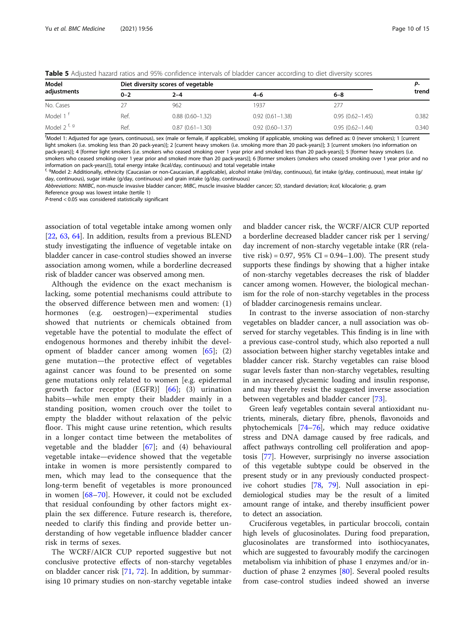<span id="page-9-0"></span>Table 5 Adjusted hazard ratios and 95% confidence intervals of bladder cancer according to diet diversity scores

| Model                | Diet diversity scores of vegetable |                     |                     |                     |       |  |  |
|----------------------|------------------------------------|---------------------|---------------------|---------------------|-------|--|--|
| adjustments          | $0 - 2$                            | $2 - 4$             | 4-6                 | $6 - 8$             | trend |  |  |
| No. Cases            |                                    | 962                 | 1937                | 277                 |       |  |  |
| Model 1 <sup>t</sup> | Ref.                               | $0.88(0.60 - 1.32)$ | $0.92(0.61 - 1.38)$ | $0.95(0.62 - 1.45)$ | 0.382 |  |  |
| Model 2 $f, g$       | Ref.                               | $0.87(0.61 - 1.30)$ | $0.92(0.60 - 1.37)$ | $0.95(0.62 - 1.44)$ | 0.340 |  |  |

f Model 1: Adjusted for age (years, continuous), sex (male or female, if applicable), smoking (if applicable, smoking was defined as: 0 (never smokers); 1 [current light smokers (i.e. smoking less than 20 pack-years)]; 2 [current heavy smokers (i.e. smoking more than 20 pack-years)]; 3 [current smokers (no information on pack-years)]; 4 [former light smokers (i.e. smokers who ceased smoking over 1 year prior and smoked less than 20 pack-years)]; 5 [former heavy smokers (i.e. smokers who ceased smoking over 1 year prior and smoked more than 20 pack-years)]; 6 [former smokers (smokers who ceased smoking over 1 year prior and no information on pack-years)]), total energy intake (kcal/day, continuous) and total vegetable intake<br><sup>f, g</sup>Model 2: Additionally, ethnicity (Caucasian or non-Caucasian, if applicable), alcohol intake (m//day, continuous), f

day, continuous), sugar intake (g/day, continuous) and grain intake (g/day, continuous)

Abbreviations: NMIBC, non-muscle invasive bladder cancer; MIBC, muscle invasive bladder cancer; SD, standard deviation; kcal, kilocalorie; g, gram Reference group was lowest intake (tertile 1)

P-trend < 0.05 was considered statistically significant

association of total vegetable intake among women only [[22,](#page-12-0) [63,](#page-13-0) [64](#page-13-0)]. In addition, results from a previous BLEND study investigating the influence of vegetable intake on bladder cancer in case-control studies showed an inverse association among women, while a borderline decreased risk of bladder cancer was observed among men.

Although the evidence on the exact mechanism is lacking, some potential mechanisms could attribute to the observed difference between men and women: (1) hormones (e.g. oestrogen)—experimental studies showed that nutrients or chemicals obtained from vegetable have the potential to modulate the effect of endogenous hormones and thereby inhibit the development of bladder cancer among women [[65\]](#page-13-0); (2) gene mutation—the protective effect of vegetables against cancer was found to be presented on some gene mutations only related to women [e.g. epidermal growth factor receptor  $(EGFR)$  [[66\]](#page-13-0); (3) urination habits—while men empty their bladder mainly in a standing position, women crouch over the toilet to empty the bladder without relaxation of the pelvic floor. This might cause urine retention, which results in a longer contact time between the metabolites of vegetable and the bladder [[67](#page-13-0)]; and (4) behavioural vegetable intake—evidence showed that the vegetable intake in women is more persistently compared to men, which may lead to the consequence that the long-term benefit of vegetables is more pronounced in women [\[68](#page-13-0)–[70](#page-14-0)]. However, it could not be excluded that residual confounding by other factors might explain the sex difference. Future research is, therefore, needed to clarify this finding and provide better understanding of how vegetable influence bladder cancer risk in terms of sexes.

The WCRF/AICR CUP reported suggestive but not conclusive protective effects of non-starchy vegetables on bladder cancer risk [[71,](#page-14-0) [72\]](#page-14-0). In addition, by summarising 10 primary studies on non-starchy vegetable intake

and bladder cancer risk, the WCRF/AICR CUP reported a borderline decreased bladder cancer risk per 1 serving/ day increment of non-starchy vegetable intake (RR (relative risk) =  $0.97$ ,  $95\%$  CI =  $0.94-1.00$ ). The present study supports these findings by showing that a higher intake of non-starchy vegetables decreases the risk of bladder cancer among women. However, the biological mechanism for the role of non-starchy vegetables in the process of bladder carcinogenesis remains unclear.

In contrast to the inverse association of non-starchy vegetables on bladder cancer, a null association was observed for starchy vegetables. This finding is in line with a previous case-control study, which also reported a null association between higher starchy vegetables intake and bladder cancer risk. Starchy vegetables can raise blood sugar levels faster than non-starchy vegetables, resulting in an increased glycaemic loading and insulin response, and may thereby resist the suggested inverse association between vegetables and bladder cancer [\[73\]](#page-14-0).

Green leafy vegetables contain several antioxidant nutrients, minerals, dietary fibre, phenols, flavonoids and phytochemicals [[74](#page-14-0)–[76\]](#page-14-0), which may reduce oxidative stress and DNA damage caused by free radicals, and affect pathways controlling cell proliferation and apoptosis [\[77\]](#page-14-0). However, surprisingly no inverse association of this vegetable subtype could be observed in the present study or in any previously conducted prospective cohort studies [\[78](#page-14-0), [79\]](#page-14-0). Null association in epidemiological studies may be the result of a limited amount range of intake, and thereby insufficient power to detect an association.

Cruciferous vegetables, in particular broccoli, contain high levels of glucosinolates. During food preparation, glucosinolates are transformed into isothiocyanates, which are suggested to favourably modify the carcinogen metabolism via inhibition of phase 1 enzymes and/or induction of phase 2 enzymes [[80\]](#page-14-0). Several pooled results from case-control studies indeed showed an inverse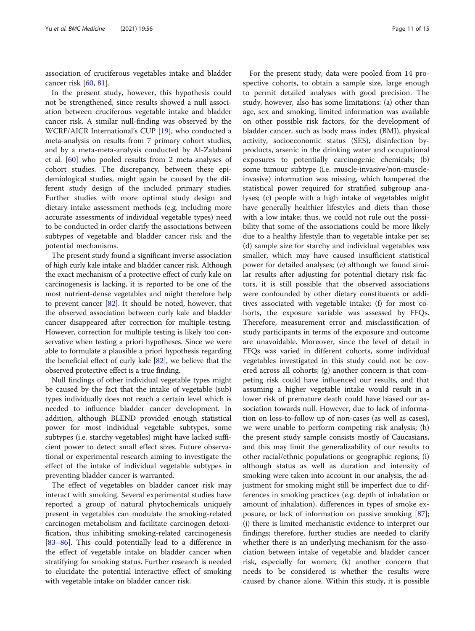association of cruciferous vegetables intake and bladder cancer risk [\[60](#page-13-0), [81](#page-14-0)].

In the present study, however, this hypothesis could not be strengthened, since results showed a null association between cruciferous vegetable intake and bladder cancer risk. A similar null-finding was observed by the WCRF/AICR International's CUP [[19](#page-12-0)], who conducted a meta-analysis on results from 7 primary cohort studies, and by a meta-meta-analysis conducted by Al-Zalabani et al. [\[60](#page-13-0)] who pooled results from 2 meta-analyses of cohort studies. The discrepancy, between these epidemiological studies, might again be caused by the different study design of the included primary studies. Further studies with more optimal study design and dietary intake assessment methods (e.g. including more accurate assessments of individual vegetable types) need to be conducted in order clarify the associations between subtypes of vegetable and bladder cancer risk and the potential mechanisms.

The present study found a significant inverse association of high curly kale intake and bladder cancer risk. Although the exact mechanism of a protective effect of curly kale on carcinogenesis is lacking, it is reported to be one of the most nutrient-dense vegetables and might therefore help to prevent cancer [\[82\]](#page-14-0). It should be noted, however, that the observed association between curly kale and bladder cancer disappeared after correction for multiple testing. However, correction for multiple testing is likely too conservative when testing a priori hypotheses. Since we were able to formulate a plausible a priori hypothesis regarding the beneficial effect of curly kale [[82](#page-14-0)], we believe that the observed protective effect is a true finding.

Null findings of other individual vegetable types might be caused by the fact that the intake of vegetable (sub) types individually does not reach a certain level which is needed to influence bladder cancer development. In addition, although BLEND provided enough statistical power for most individual vegetable subtypes, some subtypes (i.e. starchy vegetables) might have lacked sufficient power to detect small effect sizes. Future observational or experimental research aiming to investigate the effect of the intake of individual vegetable subtypes in preventing bladder cancer is warranted.

The effect of vegetables on bladder cancer risk may interact with smoking. Several experimental studies have reported a group of natural phytochemicals uniquely present in vegetables can modulate the smoking-related carcinogen metabolism and facilitate carcinogen detoxification, thus inhibiting smoking-related carcinogenesis [[83](#page-14-0)–[86](#page-14-0)]. This could potentially lead to a difference in the effect of vegetable intake on bladder cancer when stratifying for smoking status. Further research is needed to elucidate the potential interactive effect of smoking with vegetable intake on bladder cancer risk.

For the present study, data were pooled from 14 prospective cohorts, to obtain a sample size, large enough to permit detailed analyses with good precision. The study, however, also has some limitations: (a) other than age, sex and smoking, limited information was available on other possible risk factors, for the development of bladder cancer, such as body mass index (BMI), physical activity, socioeconomic status (SES), disinfection byproducts, arsenic in the drinking water and occupational exposures to potentially carcinogenic chemicals; (b) some tumour subtype (i.e. muscle-invasive/non-muscleinvasive) information was missing, which hampered the statistical power required for stratified subgroup analyses; (c) people with a high intake of vegetables might have generally healthier lifestyles and diets than those with a low intake; thus, we could not rule out the possibility that some of the associations could be more likely due to a healthy lifestyle than to vegetable intake per se; (d) sample size for starchy and individual vegetables was smaller, which may have caused insufficient statistical power for detailed analyses; (e) although we found similar results after adjusting for potential dietary risk factors, it is still possible that the observed associations were confounded by other dietary constituents or additives associated with vegetable intake; (f) for most cohorts, the exposure variable was assessed by FFQs. Therefore, measurement error and misclassification of study participants in terms of the exposure and outcome are unavoidable. Moreover, since the level of detail in FFQs was varied in different cohorts, some individual vegetables investigated in this study could not be covered across all cohorts; (g) another concern is that competing risk could have influenced our results, and that assuming a higher vegetable intake would result in a lower risk of premature death could have biased our association towards null. However, due to lack of information on loss-to-follow up of non-cases (as well as cases), we were unable to perform competing risk analysis; (h) the present study sample consists mostly of Caucasians, and this may limit the generalizability of our results to other racial/ethnic populations or geographic regions; (i) although status as well as duration and intensity of smoking were taken into account in our analysis, the adjustment for smoking might still be imperfect due to differences in smoking practices (e.g. depth of inhalation or amount of inhalation), differences in types of smoke exposure, or lack of information on passive smoking [\[87](#page-14-0)]; (j) there is limited mechanistic evidence to interpret our findings; therefore, further studies are needed to clarify whether there is an underlying mechanism for the association between intake of vegetable and bladder cancer risk, especially for women; (k) another concern that needs to be considered is whether the results were caused by chance alone. Within this study, it is possible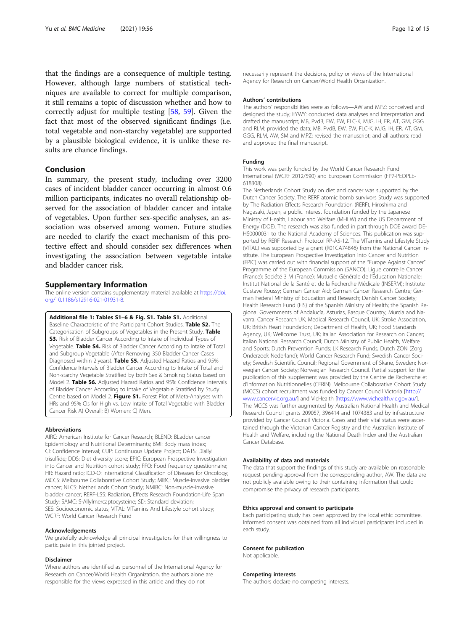<span id="page-11-0"></span>that the findings are a consequence of multiple testing. However, although large numbers of statistical techniques are available to correct for multiple comparison, it still remains a topic of discussion whether and how to correctly adjust for multiple testing [[58,](#page-13-0) [59\]](#page-13-0). Given the fact that most of the observed significant findings (i.e. total vegetable and non-starchy vegetable) are supported by a plausible biological evidence, it is unlike these results are chance findings.

#### Conclusion

In summary, the present study, including over 3200 cases of incident bladder cancer occurring in almost 0.6 million participants, indicates no overall relationship observed for the association of bladder cancer and intake of vegetables. Upon further sex-specific analyses, an association was observed among women. Future studies are needed to clarify the exact mechanism of this protective effect and should consider sex differences when investigating the association between vegetable intake and bladder cancer risk.

#### Supplementary Information

The online version contains supplementary material available at [https://doi.](https://doi.org/10.1186/s12916-021-01931-8) [org/10.1186/s12916-021-01931-8.](https://doi.org/10.1186/s12916-021-01931-8)

Additional file 1: Tables S1-6 & Fig. S1. Table S1. Additional Baseline Characteristic of the Participant Cohort Studies. Table S2. The Categorisation of Subgroups of Vegetables in the Present Study. Table S3. Risk of Bladder Cancer According to Intake of Individual Types of Vegetable. Table S4. Risk of Bladder Cancer According to Intake of Total and Subgroup Vegetable (After Removing 350 Bladder Cancer Cases Diagnosed within 2 years). Table S5. Adjusted Hazard Ratios and 95% Confidence Intervals of Bladder Cancer According to Intake of Total and Non-starchy Vegetable Stratified by both Sex & Smoking Status based on Model 2. Table S6. Adjusted Hazard Ratios and 95% Confidence Intervals of Bladder Cancer According to Intake of Vegetable Stratified by Study Centre based on Model 2. Figure S1. Forest Plot of Meta-Analyses with HRs and 95% CIs for High vs. Low Intake of Total Vegetable with Bladder Cancer Risk A) Overall; B) Women; C) Men.

#### Abbreviations

AIRC: American Institute for Cancer Research; BLEND: BLadder cancer Epidemiology and Nutritional Determinants; BMI: Body mass index; CI: Confidence interval; CUP: Continuous Update Project; DATS: Diallyl trisulfide; DDS: Diet diversity score; EPIC: European Prospective Investigation into Cancer and Nutrition cohort study; FFQ: Food frequency questionnaire; HR: Hazard ratio; ICD-O: International Classification of Diseases for Oncology; MCCS: Melbourne Collaborative Cohort Study; MIBC: Muscle-invasive bladder cancer; NLCS: NetherLands Cohort Study; NMIBC: Non-muscle-invasive bladder cancer; RERF-LSS: Radiation, Effects Research Foundation-Life Span Study; SAMC: S-Allylmercaptocysteine; SD: Standard deviation; SES: Socioeconomic status; VITAL: VITamins And Lifestyle cohort study; WCRF: World Cancer Research Fund

#### Acknowledgements

We gratefully acknowledge all principal investigators for their willingness to participate in this jointed project.

#### Disclaimer

Where authors are identified as personnel of the International Agency for Research on Cancer/World Health Organization, the authors alone are responsible for the views expressed in this article and they do not

necessarily represent the decisions, policy or views of the International Agency for Research on Cancer/World Health Organization.

#### Authors' contributions

The authors' responsibilities were as follows—AW and MPZ: conceived and designed the study; EYWY: conducted data analyses and interpretation and drafted the manuscript; MB, PvdB, EW, EW, FLC-K, MJG, IH, ER, AT, GM, GGG and RLM: provided the data; MB, PvdB, EW, EW, FLC-K, MJG, IH, ER, AT, GM, GGG, RLM, AW, SM and MPZ: revised the manuscript; and all authors: read and approved the final manuscript.

#### Funding

This work was partly funded by the World Cancer Research Fund International (WCRF 2012/590) and European Commission (FP7-PEOPLE-618308).

The Netherlands Cohort Study on diet and cancer was supported by the Dutch Cancer Society. The RERF atomic bomb survivors Study was supported by The Radiation Effects Research Foundation (RERF), Hiroshima and Nagasaki, Japan, a public interest foundation funded by the Japanese Ministry of Health, Labour and Welfare (MHLW) and the US Department of Energy (DOE). The research was also funded in part through DOE award DE-HS0000031 to the National Academy of Sciences. This publication was supported by RERF Research Protocol RP-A5-12. The VITamins and Lifestyle Study (VITAL) was supported by a grant (R01CA74846) from the National Cancer Institute. The European Prospective Investigation into Cancer and Nutrition (EPIC) was carried out with financial support of the "Europe Against Cancer" Programme of the European Commission (SANCO); Ligue contre le Cancer (France); Société 3 M (France); Mutuelle Générale de l'Éducation Nationale; Institut National de la Santé et de la Recherche Médicale (INSERM); Institute Gustave Roussy; German Cancer Aid; German Cancer Research Centre; German Federal Ministry of Education and Research; Danish Cancer Society; Health Research Fund (FIS) of the Spanish Ministry of Health; the Spanish Regional Governments of Andalucía, Asturias, Basque Country, Murcia and Navarra; Cancer Research UK; Medical Research Council, UK; Stroke Association, UK; British Heart Foundation; Department of Health, UK; Food Standards Agency, UK; Wellcome Trust, UK; Italian Association for Research on Cancer; Italian National Research Council; Dutch Ministry of Public Health, Welfare and Sports; Dutch Prevention Funds; LK Research Funds; Dutch ZON (Zorg Onderzoek Nederland); World Cancer Research Fund; Swedish Cancer Society; Swedish Scientific Council; Regional Government of Skane, Sweden; Norwegian Cancer Society; Norwegian Research Council. Partial support for the publication of this supplement was provided by the Centre de Recherche et d'Information Nutritionnelles (CERIN). Melbourne Collaborative Cohort Study (MCCS) cohort recruitment was funded by Cancer Council Victoria [[http://](http://www.cancervic.org.au/) [www.cancervic.org.au/\]](http://www.cancervic.org.au/) and VicHealth [<https://www.vichealth.vic.gov.au/>]. The MCCS was further augmented by Australian National Health and Medical Research Council grants 209057, 396414 and 1074383 and by infrastructure provided by Cancer Council Victoria. Cases and their vital status were ascertained through the Victorian Cancer Registry and the Australian Institute of Health and Welfare, including the National Death Index and the Australian Cancer Database.

#### Availability of data and materials

The data that support the findings of this study are available on reasonable request pending approval from the corresponding author, AW. The data are not publicly available owing to their containing information that could compromise the privacy of research participants.

#### Ethics approval and consent to participate

Each participating study has been approved by the local ethic committee. Informed consent was obtained from all individual participants included in each study.

#### Consent for publication

Not applicable.

#### Competing interests

The authors declare no competing interests.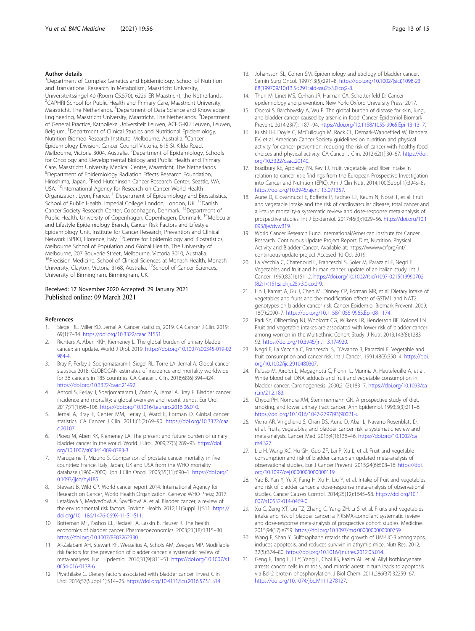#### <span id="page-12-0"></span>Author details

<sup>1</sup>Department of Complex Genetics and Epidemiology, School of Nutrition and Translational Research in Metabolism, Maastricht University, Universiteitssingel 40 (Room C5.570), 6229 ER Maastricht, the Netherlands. <sup>2</sup>CAPHRI School for Public Health and Primary Care, Maastricht University, Maastricht, The Netherlands. <sup>3</sup>Department of Data Science and Knowledge Engineering, Maastricht University, Maastricht, The Netherlands. <sup>4</sup>Department of General Practice, Katholieke Universiteit Leuven, ACHG-KU Leuven, Leuven, Belgium. <sup>5</sup>Department of Clinical Studies and Nutritional Epidemiology, Nutrition Biomed Research Institute, Melbourne, Australia. <sup>6</sup>Cancer Epidemiology Division, Cancer Council Victoria, 615 St Kilda Road, Melbourne, Victoria 3004, Australia. <sup>7</sup>Department of Epidemiology, Schools for Oncology and Developmental Biology and Public Health and Primary Care, Maastricht University Medical Centre, Maastricht, The Netherlands. 8 Department of Epidemiology Radiation Effects Research Foundation, Hiroshima, Japan. <sup>9</sup>Fred Hutchinson Cancer Research Center, Seattle, WA, USA. <sup>10</sup>International Agency for Research on Cancer World Health Organization, Lyon, France. 11Department of Epidemiology and Biostatistics, School of Public Health, Imperial College London, London, UK. <sup>12</sup>Danish Cancer Society Research Center, Copenhagen, Denmark. 13Department of Public Health, University of Copenhagen, Copenhagen, Denmark. <sup>14</sup>Molecular and Lifestyle Epidemiology Branch, Cancer Risk Factors and Lifestyle Epidemiology Unit, Institute for Cancer Research, Prevention and Clinical Network ISPRO, Florence, Italy. 15Centre for Epidemiology and Biostatistics, Melbourne School of Population and Global Health, The University of Melbourne, 207 Bouverie Street, Melbourne, Victoria 3010, Australia. <sup>16</sup>Precision Medicine, School of Clinical Sciences at Monash Health, Monash University, Clayton, Victoria 3168, Australia. 17School of Cancer Sciences, University of Birmingham, Birmingham, UK.

#### Received: 17 November 2020 Accepted: 29 January 2021 Published online: 09 March 2021

#### References

- Siegel RL, Miller KD, Jemal A. Cancer statistics, 2019. CA Cancer J Clin. 2019; 69(1):7–34. <https://doi.org/10.3322/caac.21551>.
- 2. Richters A, Aben KKH, Kiemeney L. The global burden of urinary bladder cancer: an update. World J Urol. 2019. [https://doi.org/10.1007/s00345-019-02](https://doi.org/10.1007/s00345-019-02984-4) [984-4](https://doi.org/10.1007/s00345-019-02984-4).
- 3. Bray F, Ferlay J, Soerjomataram I, Siegel RL, Torre LA, Jemal A. Global cancer statistics 2018: GLOBOCAN estimates of incidence and mortality worldwide for 36 cancers in 185 countries. CA Cancer J Clin. 2018;68(6):394–424. [https://doi.org/10.3322/caac.21492.](https://doi.org/10.3322/caac.21492)
- 4. Antoni S, Ferlay J, Soerjomataram I, Znaor A, Jemal A, Bray F. Bladder cancer incidence and mortality: a global overview and recent trends. Eur Urol. 2017;71(1):96–108. [https://doi.org/10.1016/j.eururo.2016.06.010.](https://doi.org/10.1016/j.eururo.2016.06.010)
- Jemal A, Bray F, Center MM, Ferlay J, Ward E, Forman D. Global cancer statistics. CA Cancer J Clin. 2011;61(2):69–90. [https://doi.org/10.3322/caa](https://doi.org/10.3322/caac.20107) [c.20107.](https://doi.org/10.3322/caac.20107)
- 6. Ploeg M, Aben KK, Kiemeney LA. The present and future burden of urinary bladder cancer in the world. World J Urol. 2009;27(3):289–93. [https://doi.](https://doi.org/10.1007/s00345-009-0383-3) [org/10.1007/s00345-009-0383-3](https://doi.org/10.1007/s00345-009-0383-3).
- 7. Marugame T, Mizuno S. Comparison of prostate cancer mortality in five countries: France, Italy, Japan, UK and USA from the WHO mortality database (1960–2000). Jpn J Clin Oncol. 2005;35(11):690–1. [https://doi.org/1](https://doi.org/10.1093/jjco/hyi185) [0.1093/jjco/hyi185](https://doi.org/10.1093/jjco/hyi185).
- 8. Stewart B, Wild CP. World cancer report 2014. International Agency for Research on Cancer, World Health Organization. Geneva: WHO Press; 2017.
- 9. Letašiová S, Medveďová A, Šovčíková A, et al. Bladder cancer, a review of the environmental risk factors. Environ Health. 2012;11(Suppl 1):S11. [https://](https://doi.org/10.1186/1476-069X-11-S1-S11) [doi.org/10.1186/1476-069X-11-S1-S11.](https://doi.org/10.1186/1476-069X-11-S1-S11)
- 10. Botteman MF, Pashos CL, Redaelli A, Laskin B, Hauser R. The health economics of bladder cancer. Pharmacoeconomics. 2003;21(18):1315–30. <https://doi.org/10.1007/BF03262330>.
- 11. Al-Zalabani AH, Stewart KF, Wesselius A, Schols AM, Zeegers MP. Modifiable risk factors for the prevention of bladder cancer: a systematic review of meta-analyses. Eur J Epdemiol. 2016;31(9):811–51. [https://doi.org/10.1007/s1](https://doi.org/10.1007/s10654-016-0138-6) [0654-016-0138-6.](https://doi.org/10.1007/s10654-016-0138-6)
- 12. Piyathilake C. Dietary factors associated with bladder cancer. Invest Clin Urol. 2016;57(Suppl 1):S14–25. <https://doi.org/10.4111/icu.2016.57.S1.S14>.
- 13. Johansson SL, Cohen SM. Epidemiology and etiology of bladder cancer. Semin Surg Oncol. 1997;13(5):291–8. [https://doi.org/10.1002/\(sici\)1098-23](https://doi.org/10.1002/(sici)1098-2388(199709/10)13:5<291::aid-ssu2>3.0.co;2-8) [88\(199709/10\)13:5<291::aid-ssu2>3.0.co;2-8.](https://doi.org/10.1002/(sici)1098-2388(199709/10)13:5<291::aid-ssu2>3.0.co;2-8)
- 14. Thun M, Linet MS, Cerhan JR, Haiman CA, Schottenfeld D. Cancer epidemiology and prevention. New York: Oxford University Press; 2017.
- 15. Oberoi S, Barchowsky A, Wu F. The global burden of disease for skin, lung, and bladder cancer caused by arsenic in food. Cancer Epidemiol Biomark Prevent. 2014;23(7):1187–94. [https://doi.org/10.1158/1055-9965.Epi-13-1317.](https://doi.org/10.1158/1055-9965.Epi-13-1317)
- 16. Kushi LH, Doyle C, McCullough M, Rock CL, Demark-Wahnefried W, Bandera EV, et al. American Cancer Society guidelines on nutrition and physical activity for cancer prevention: reducing the risk of cancer with healthy food choices and physical activity. CA Cancer J Clin. 2012;62(1):30–67. [https://doi.](https://doi.org/10.3322/caac.20140) [org/10.3322/caac.20140.](https://doi.org/10.3322/caac.20140)
- 17. Bradbury KE, Appleby PN, Key TJ. Fruit, vegetable, and fiber intake in relation to cancer risk: findings from the European Prospective Investigation into Cancer and Nutrition (EPIC). Am J Clin Nutr. 2014;100(Suppl 1):394s–8s. [https://doi.org/10.3945/ajcn.113.071357.](https://doi.org/10.3945/ajcn.113.071357)
- 18. Aune D, Giovannucci E, Boffetta P, Fadnes LT, Keum N, Norat T, et al. Fruit and vegetable intake and the risk of cardiovascular disease, total cancer and all-cause mortality-a systematic review and dose-response meta-analysis of prospective studies. Int J Epidemiol. 2017;46(3):1029–56. [https://doi.org/10.1](https://doi.org/10.1093/ije/dyw319) [093/ije/dyw319.](https://doi.org/10.1093/ije/dyw319)
- 19. World Cancer Research Fund International/American Institute for Cancer Research. Continuous Update Project Report: Diet, Nutrition, Physical Activity and Bladder Cancer. Available at: https://wwwwcrforg/int/ continuous-update-project Accesed 10 Oct 2019.
- 20. La Vecchia C, Chatenoud L, Franceschi S, Soler M, Parazzini F, Negri E. Vegetables and fruit and human cancer: update of an Italian study. Int J Cancer. 1999;82(1):151–2. [https://doi.org/10.1002/\(sici\)1097-0215\(19990702](https://doi.org/10.1002/(sici)1097-0215(19990702)82:1<151::aid-ijc25>3.0.co;2-9) [\)82:1<151::aid-ijc25>3.0.co;2-9.](https://doi.org/10.1002/(sici)1097-0215(19990702)82:1<151::aid-ijc25>3.0.co;2-9)
- 21. Lin J, Kamat A, Gu J, Chen M, Dinney CP, Forman MR, et al. Dietary intake of vegetables and fruits and the modification effects of GSTM1 and NAT2 genotypes on bladder cancer risk. Cancer Epidemiol Biomark Prevent. 2009; 18(7):2090–7. [https://doi.org/10.1158/1055-9965.Epi-08-1174.](https://doi.org/10.1158/1055-9965.Epi-08-1174)
- 22. Park SY, Ollberding NJ, Woolcott CG, Wilkens LR, Henderson BE, Kolonel LN. Fruit and vegetable intakes are associated with lower risk of bladder cancer among women in the Multiethnic Cohort Study. J Nutr. 2013;143(8):1283– 92. <https://doi.org/10.3945/jn.113.174920>.
- 23. Negri E, La Vecchia C, Franceschi S, D'Avanzo B, Parazzini F. Vegetable and fruit consumption and cancer risk. Int J Cancer. 1991;48(3):350–4. [https://doi.](https://doi.org/10.1002/ijc.2910480307) [org/10.1002/ijc.2910480307](https://doi.org/10.1002/ijc.2910480307).
- 24. Peluso M, Airoldi L, Magagnotti C, Fiorini L, Munnia A, Hautefeuille A, et al. White blood cell DNA adducts and fruit and vegetable consumption in bladder cancer. Carcinogenesis. 2000;21(2):183–7. [https://doi.org/10.1093/ca](https://doi.org/10.1093/carcin/21.2.183) [rcin/21.2.183](https://doi.org/10.1093/carcin/21.2.183).
- 25. Chyou PH, Nomura AM, Stemmermann GN. A prospective study of diet, smoking, and lower urinary tract cancer. Ann Epidemiol. 1993;3(3):211–6. [https://doi.org/10.1016/1047-2797\(93\)90021-u.](https://doi.org/10.1016/1047-2797(93)90021-u)
- 26. Vieira AR, Vingeliene S, Chan DS, Aune D, Abar L, Navarro Rosenblatt D, et al. Fruits, vegetables, and bladder cancer risk: a systematic review and meta-analysis. Cancer Med. 2015;4(1):136–46. [https://doi.org/10.1002/ca](https://doi.org/10.1002/cam4.327) [m4.327](https://doi.org/10.1002/cam4.327).
- 27. Liu H, Wang XC, Hu GH, Guo ZF, Lai P, Xu L, et al. Fruit and vegetable consumption and risk of bladder cancer: an updated meta-analysis of observational studies. Eur J Cancer Prevent. 2015;24(6):508–16. [https://doi.](https://doi.org/10.1097/cej.0000000000000119) [org/10.1097/cej.0000000000000119.](https://doi.org/10.1097/cej.0000000000000119)
- 28. Yao B, Yan Y, Ye X, Fang H, Xu H, Liu Y, et al. Intake of fruit and vegetables and risk of bladder cancer: a dose-response meta-analysis of observational studies. Cancer Causes Control. 2014;25(12):1645–58. [https://doi.org/10.1](https://doi.org/10.1007/s10552-014-0469-0) [007/s10552-014-0469-0.](https://doi.org/10.1007/s10552-014-0469-0)
- 29. Xu C, Zeng XT, Liu TZ, Zhang C, Yang ZH, Li S, et al. Fruits and vegetables intake and risk of bladder cancer: a PRISMA-compliant systematic review and dose-response meta-analysis of prospective cohort studies. Medicine. 2015;94(17):e759. [https://doi.org/10.1097/md.0000000000000759.](https://doi.org/10.1097/md.0000000000000759)
- 30. Wang F, Shan Y. Sulforaphane retards the growth of UM-UC-3 xenographs, induces apoptosis, and reduces survivin in athymic mice. Nutr Res. 2012; 32(5):374–80. [https://doi.org/10.1016/j.nutres.2012.03.014.](https://doi.org/10.1016/j.nutres.2012.03.014)
- 31. Geng F, Tang L, Li Y, Yang L, Choi KS, Kazim AL, et al. Allyl isothiocyanate arrests cancer cells in mitosis, and mitotic arrest in turn leads to apoptosis via Bcl-2 protein phosphorylation. J Biol Chem. 2011;286(37):32259–67. [https://doi.org/10.1074/jbc.M111.278127.](https://doi.org/10.1074/jbc.M111.278127)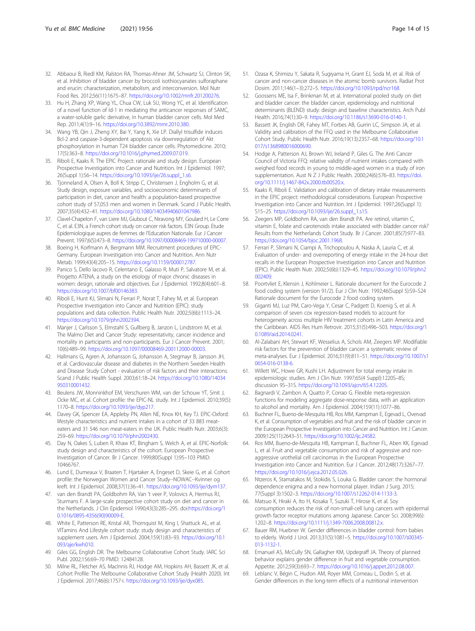- <span id="page-13-0"></span>32. Abbaoui B, Riedl KM, Ralston RA, Thomas-Ahner JM, Schwartz SJ, Clinton SK, et al. Inhibition of bladder cancer by broccoli isothiocyanates sulforaphane and erucin: characterization, metabolism, and interconversion. Mol Nutr Food Res. 2012;56(11):1675–87. [https://doi.org/10.1002/mnfr.201200276.](https://doi.org/10.1002/mnfr.201200276)
- 33. Hu H, Zhang XP, Wang YL, Chua CW, Luk SU, Wong YC, et al. Identification of a novel function of Id-1 in mediating the anticancer responses of SAMC, a water-soluble garlic derivative, in human bladder cancer cells. Mol Med Rep. 2011;4(1):9–16. [https://doi.org/10.3892/mmr.2010.380.](https://doi.org/10.3892/mmr.2010.380)
- 34. Wang YB, Qin J, Zheng XY, Bai Y, Yang K, Xie LP. Diallyl trisulfide induces Bcl-2 and caspase-3-dependent apoptosis via downregulation of Akt phosphorylation in human T24 bladder cancer cells. Phytomedicine. 2010; 17(5):363–8. <https://doi.org/10.1016/j.phymed.2009.07.019>.
- 35. Riboli E, Kaaks R. The EPIC Project: rationale and study design. European Prospective Investigation into Cancer and Nutrition. Int J Epidemiol. 1997; 26(Suppl 1):S6–14. [https://doi.org/10.1093/ije/26.suppl\\_1.s6](https://doi.org/10.1093/ije/26.suppl_1.s6).
- 36. Tjonneland A, Olsen A, Boll K, Stripp C, Christensen J, Engholm G, et al. Study design, exposure variables, and socioeconomic determinants of participation in diet, cancer and health: a population-based prospective cohort study of 57,053 men and women in Denmark. Scand J Public Health. 2007;35(4):432–41. [https://doi.org/10.1080/14034940601047986.](https://doi.org/10.1080/14034940601047986)
- 37. Clavel-Chapelon F, van Liere MJ, Giubout C, Niravong MY, Goulard H, Le Corre C, et al. E3N, a French cohort study on cancer risk factors. E3N Group. Etude Epidemiologique aupres de femmes de l'Education Nationale. Eur J Cancer Prevent. 1997;6(5):473–8. <https://doi.org/10.1097/00008469-199710000-00007>.
- Boeing H, Korfmann A, Bergmann MM. Recruitment procedures of EPIC-Germany. European Investigation into Cancer and Nutrition. Ann Nutr Metab. 1999;43(4):205–15. [https://doi.org/10.1159/000012787.](https://doi.org/10.1159/000012787)
- 39. Panico S, Dello Iacovo R, Celentano E, Galasso R, Muti P, Salvatore M, et al. Progetto ATENA, a study on the etiology of major chronic diseases in women: design, rationale and objectives. Eur J Epidemiol. 1992;8(4):601–8. [https://doi.org/10.1007/bf00146383.](https://doi.org/10.1007/bf00146383)
- 40. Riboli E, Hunt KJ, Slimani N, Ferrari P, Norat T, Fahey M, et al. European Prospective Investigation into Cancer and Nutrition (EPIC): study populations and data collection. Public Health Nutr. 2002;5(6b):1113–24. <https://doi.org/10.1079/phn2002394>.
- 41. Manjer J, Carlsson S, Elmstahl S, Gullberg B, Janzon L, Lindstrom M, et al. The Malmo Diet and Cancer Study: representativity, cancer incidence and mortality in participants and non-participants. Eur J Cancer Prevent. 2001; 10(6):489–99. <https://doi.org/10.1097/00008469-200112000-00003>.
- 42. Hallmans G, Agren A, Johansson G, Johansson A, Stegmayr B, Jansson JH, et al. Cardiovascular disease and diabetes in the Northern Sweden Health and Disease Study Cohort - evaluation of risk factors and their interactions. Scand J Public Health Suppl. 2003;61:18–24. [https://doi.org/10.1080/14034](https://doi.org/10.1080/14034950310001432) [950310001432.](https://doi.org/10.1080/14034950310001432)
- 43. Beulens JW, Monninkhof EM, Verschuren WM, van der Schouw YT, Smit J, Ocke MC, et al. Cohort profile: the EPIC-NL study. Int J Epidemiol. 2010;39(5): 1170–8. [https://doi.org/10.1093/ije/dyp217.](https://doi.org/10.1093/ije/dyp217)
- 44. Davey GK, Spencer EA, Appleby PN, Allen NE, Knox KH, Key TJ. EPIC-Oxford: lifestyle characteristics and nutrient intakes in a cohort of 33 883 meateaters and 31 546 non meat-eaters in the UK. Public Health Nutr. 2003;6(3): 259–69. <https://doi.org/10.1079/phn2002430>.
- 45. Day N, Oakes S, Luben R, Khaw KT, Bingham S, Welch A, et al. EPIC-Norfolk: study design and characteristics of the cohort. European Prospective Investigation of Cancer. Br J Cancer. 1999;80(Suppl 1):95–103 PMID: 10466767.
- 46. Lund E, Dumeaux V, Braaten T, Hjartaker A, Engeset D, Skeie G, et al. Cohort profile: the Norwegian Women and Cancer Study--NOWAC--Kvinner og kreft. Int J Epidemiol. 2008;37(1):36–41. [https://doi.org/10.1093/ije/dym137.](https://doi.org/10.1093/ije/dym137)
- 47. van den Brandt PA, Goldbohm RA, Van 't veer P, Volovics A, Hermus RJ, Sturmans F. A large-scale prospective cohort study on diet and cancer in the Netherlands. J Clin Epidemiol 1990;43(3):285–295. doi[:https://doi.org/1](https://doi.org/10.1016/0895-4356(90)90009-E) [0.1016/0895-4356\(90\)90009-E.](https://doi.org/10.1016/0895-4356(90)90009-E)
- 48. White E, Patterson RE, Kristal AR, Thornquist M, King I, Shattuck AL, et al. VITamins And Lifestyle cohort study: study design and characteristics of supplement users. Am J Epidemiol. 2004;159(1):83–93. [https://doi.org/10.1](https://doi.org/10.1093/aje/kwh010) [093/aje/kwh010](https://doi.org/10.1093/aje/kwh010).
- 49. Giles GG, English DR. The Melbourne Collaborative Cohort Study. IARC Sci Publ. 2002;156:69–70 PMID: 12484128.
- 50. Milne RL, Fletcher AS, MacInnis RJ, Hodge AM, Hopkins AH, Bassett JK, et al. Cohort Profile: The Melbourne Collaborative Cohort Study (Health 2020). Int J Epidemiol. 2017;46(6):1757-i. [https://doi.org/10.1093/ije/dyx085.](https://doi.org/10.1093/ije/dyx085)
- 51. Ozasa K, Shimizu Y, Sakata R, Sugiyama H, Grant EJ, Soda M, et al. Risk of cancer and non-cancer diseases in the atomic bomb survivors. Radiat Prot Dosim. 2011;146(1–3):272–5. [https://doi.org/10.1093/rpd/ncr168.](https://doi.org/10.1093/rpd/ncr168)
- 52. Goossens ME, Isa F, Brinkman M, et al. International pooled study on diet and bladder cancer: the bladder cancer, epidemiology and nutritional determinants (BLEND) study: design and baseline characteristics. Arch Publ Health. 2016;74(1):30–9. <https://doi.org/10.1186/s13690-016-0140-1>.
- 53. Bassett JK, English DR, Fahey MT, Forbes AB, Gurrin LC, Simpson JA, et al. Validity and calibration of the FFQ used in the Melbourne Collaborative Cohort Study. Public Health Nutr. 2016;19(13):2357–68. [https://doi.org/10.1](https://doi.org/10.1017/s1368980016000690) [017/s1368980016000690.](https://doi.org/10.1017/s1368980016000690)
- 54. Hodge A, Patterson AJ, Brown WJ, Ireland P, Giles G. The Anti Cancer Council of Victoria FFQ: relative validity of nutrient intakes compared with weighed food records in young to middle-aged women in a study of iron supplementation. Aust N Z J Public Health. 2000;24(6):576-83. [https://doi.](https://doi.org/10.1111/j.1467-842x.2000.tb00520.x) [org/10.1111/j.1467-842x.2000.tb00520.x.](https://doi.org/10.1111/j.1467-842x.2000.tb00520.x)
- 55. Kaaks R, Riboli E. Validation and calibration of dietary intake measurements in the EPIC project: methodological considerations. European Prospective Investigation into Cancer and Nutrition. Int J Epidemiol. 1997;26(Suppl 1): S15–25. [https://doi.org/10.1093/ije/26.suppl\\_1.s15.](https://doi.org/10.1093/ije/26.suppl_1.s15)
- 56. Zeegers MP, Goldbohm RA, van den Brandt PA. Are retinol, vitamin C, vitamin E, folate and carotenoids intake associated with bladder cancer risk? Results from the Netherlands Cohort Study. Br J Cancer. 2001;85(7):977–83. [https://doi.org/10.1054/bjoc.2001.1968.](https://doi.org/10.1054/bjoc.2001.1968)
- 57. Ferrari P, Slimani N, Ciampi A, Trichopoulou A, Naska A, Lauria C, et al. Evaluation of under- and overreporting of energy intake in the 24-hour diet recalls in the European Prospective Investigation into Cancer and Nutrition (EPIC). Public Health Nutr. 2002;5(6b):1329–45. [https://doi.org/10.1079/phn2](https://doi.org/10.1079/phn2002409) [002409](https://doi.org/10.1079/phn2002409).
- 58. Poortvliet E, Klensin J, Kohlmeier L. Rationale document for the Eurocode 2 food coding system (version 91/2). Eur J Clin Nutr. 1992;46(Suppl 5):S9–S24 Rationale document for the Eurocode 2 food coding system.
- 59. Giganti MJ, Luz PM, Caro-Vega Y, Cesar C, Padgett D, Koenig S, et al. A comparison of seven cox regression-based models to account for heterogeneity across multiple HIV treatment cohorts in Latin America and the Caribbean. AIDS Res Hum Retrovir. 2015;31(5):496–503. [https://doi.org/1](https://doi.org/10.1089/aid.2014.0241) [0.1089/aid.2014.0241.](https://doi.org/10.1089/aid.2014.0241)
- 60. Al-Zalabani AH, Stewart KF, Wesselius A, Schols AM, Zeegers MP. Modifiable risk factors for the prevention of bladder cancer: a systematic review of meta-analyses. Eur J Epidemiol. 2016;31(9):811–51. [https://doi.org/10.1007/s1](https://doi.org/10.1007/s10654-016-0138-6) [0654-016-0138-6.](https://doi.org/10.1007/s10654-016-0138-6)
- 61. Willett WC, Howe GR, Kushi LH. Adjustment for total energy intake in epidemiologic studies. Am J Clin Nutr. 1997;65(4 Suppl):1220S–8S; discussion 9S–31S. <https://doi.org/10.1093/ajcn/65.4.1220S>.
- 62. Bagnardi V, Zambon A, Quatto P, Corrao G. Flexible meta-regression functions for modeling aggregate dose-response data, with an application to alcohol and mortality. Am J Epidemiol. 2004;159(11):1077–86.
- 63. Buchner FL, Bueno-de-Mesquita HB, Ros MM, Kampman E, Egevad L, Overvad K, et al. Consumption of vegetables and fruit and the risk of bladder cancer in the European Prospective Investigation into Cancer and Nutrition. Int J Cancer. 2009;125(11):2643–51. <https://doi.org/10.1002/ijc.24582>.
- 64. Ros MM, Bueno-de-Mesquita HB, Kampman E, Buchner FL, Aben KK, Egevad L, et al. Fruit and vegetable consumption and risk of aggressive and nonaggressive urothelial cell carcinomas in the European Prospective Investigation into Cancer and Nutrition. Eur J Cancer. 2012;48(17):3267–77. <https://doi.org/10.1016/j.ejca.2012.05.026>.
- 65. Ntzeros K, Stamatakos M, Stokidis S, Louka G. Bladder cancer: the hormonal dependence enigma and a new hormonal player. Indian J Surg. 2015; 77(Suppl 3):1502–3. [https://doi.org/10.1007/s12262-014-1133-3.](https://doi.org/10.1007/s12262-014-1133-3)
- 66. Matsuo K, Hiraki A, Ito H, Kosaka T, Suzuki T, Hirose K, et al. Soy consumption reduces the risk of non-small-cell lung cancers with epidermal growth factor receptor mutations among Japanese. Cancer Sci. 2008;99(6): 1202–8. <https://doi.org/10.1111/j.1349-7006.2008.00812.x>.
- 67. Bauer RM, Huebner W. Gender differences in bladder control: from babies to elderly. World J Urol. 2013;31(5):1081–5. [https://doi.org/10.1007/s00345-](https://doi.org/10.1007/s00345-013-1132-1) [013-1132-1](https://doi.org/10.1007/s00345-013-1132-1).
- 68. Emanuel AS, McCully SN, Gallagher KM, Updegraff JA. Theory of planned behavior explains gender difference in fruit and vegetable consumption. Appetite. 2012;59(3):693–7. [https://doi.org/10.1016/j.appet.2012.08.007.](https://doi.org/10.1016/j.appet.2012.08.007)
- Leblanc V, Bégin C, Hudon AM, Royer MM, Corneau L, Dodin S, et al. Gender differences in the long-term effects of a nutritional intervention